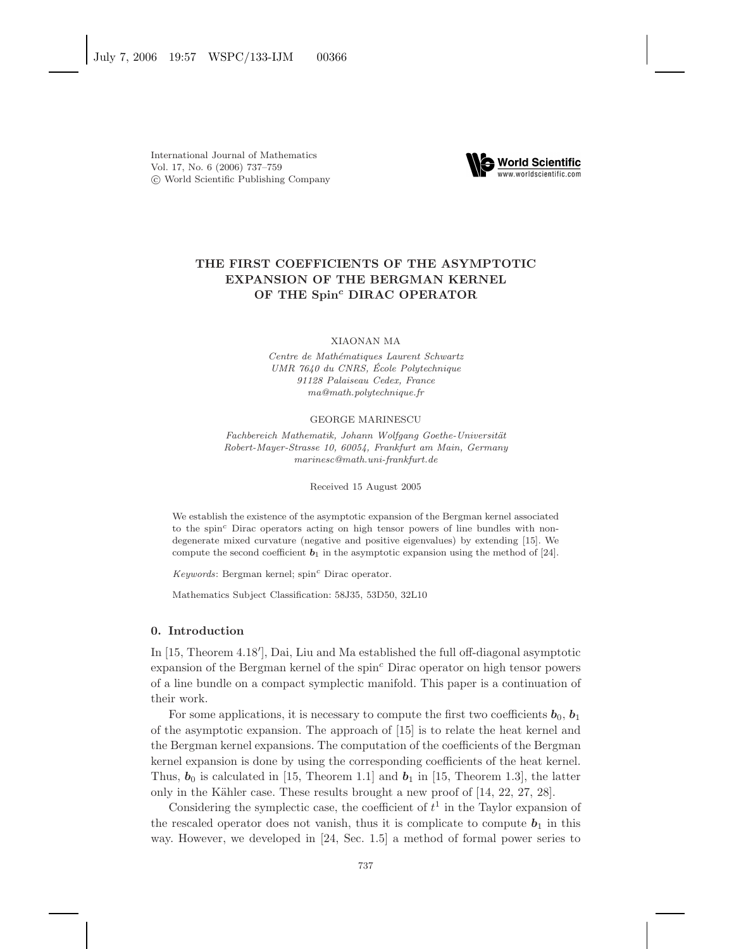

## **THE FIRST COEFFICIENTS OF THE ASYMPTOTIC EXPANSION OF THE BERGMAN KERNEL OF THE Spin***<sup>c</sup>* **DIRAC OPERATOR**

XIAONAN MA

Centre de Mathématiques Laurent Schwartz UMR 7640 du CNRS, Ecole Polytechnique ´ 91128 Palaiseau Cedex, France ma@math.polytechnique.fr

#### GEORGE MARINESCU

Fachbereich Mathematik, Johann Wolfgang Goethe-Universität Robert-Mayer-Strasse 10, 60054, Frankfurt am Main, Germany marinesc@math.uni-frankfurt.de

Received 15 August 2005

We establish the existence of the asymptotic expansion of the Bergman kernel associated to the spin*<sup>c</sup>* Dirac operators acting on high tensor powers of line bundles with nondegenerate mixed curvature (negative and positive eigenvalues) by extending [15]. We compute the second coefficient  $b_1$  in the asymptotic expansion using the method of [24].

Keywords: Bergman kernel; spin*<sup>c</sup>* Dirac operator.

Mathematics Subject Classification: 58J35, 53D50, 32L10

## **0. Introduction**

In [15, Theorem 4.18'], Dai, Liu and Ma established the full off-diagonal asymptotic expansion of the Bergman kernel of the spin<sup>c</sup> Dirac operator on high tensor powers of a line bundle on a compact symplectic manifold. This paper is a continuation of their work.

For some applications, it is necessary to compute the first two coefficients  $\mathbf{b}_0$ ,  $\mathbf{b}_1$ of the asymptotic expansion. The approach of [15] is to relate the heat kernel and the Bergman kernel expansions. The computation of the coefficients of the Bergman kernel expansion is done by using the corresponding coefficients of the heat kernel. Thus,  $\mathbf{b}_0$  is calculated in [15, Theorem 1.1] and  $\mathbf{b}_1$  in [15, Theorem 1.3], the latter only in the Kähler case. These results brought a new proof of [14, 22, 27, 28].

Considering the symplectic case, the coefficient of  $t<sup>1</sup>$  in the Taylor expansion of the rescaled operator does not vanish, thus it is complicate to compute  $b_1$  in this way. However, we developed in [24, Sec. 1.5] a method of formal power series to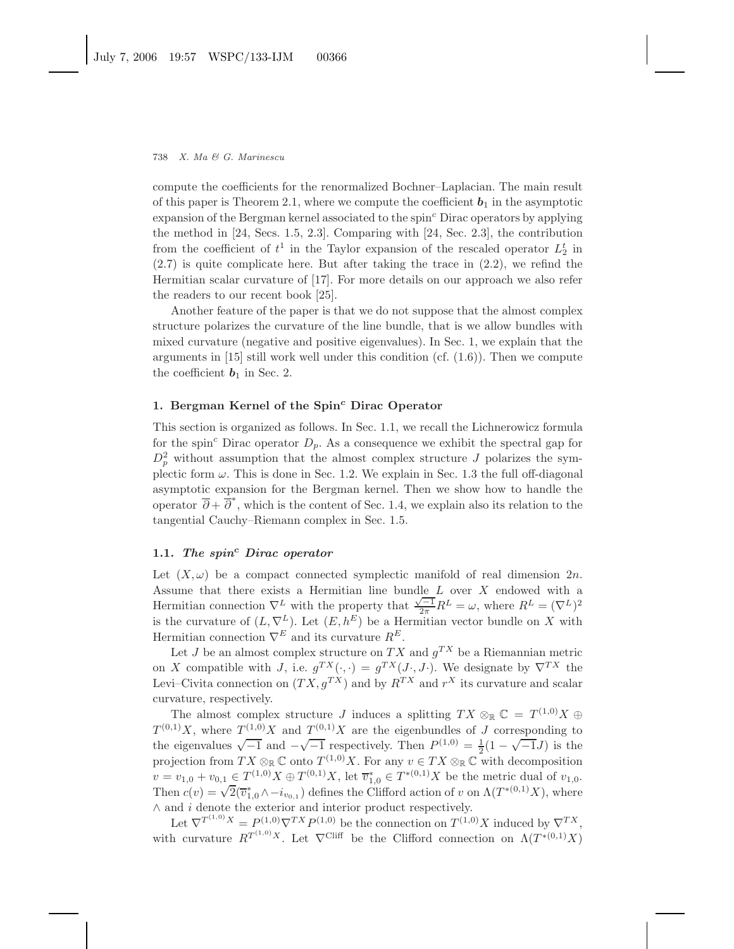compute the coefficients for the renormalized Bochner–Laplacian. The main result of this paper is Theorem 2.1, where we compute the coefficient  $b_1$  in the asymptotic expansion of the Bergman kernel associated to the spin<sup>c</sup> Dirac operators by applying the method in [24, Secs. 1.5, 2.3]. Comparing with [24, Sec. 2.3], the contribution from the coefficient of  $t^1$  in the Taylor expansion of the rescaled operator  $L_2^t$  in (2.7) is quite complicate here. But after taking the trace in (2.2), we refind the Hermitian scalar curvature of [17]. For more details on our approach we also refer the readers to our recent book [25].

Another feature of the paper is that we do not suppose that the almost complex structure polarizes the curvature of the line bundle, that is we allow bundles with mixed curvature (negative and positive eigenvalues). In Sec. 1, we explain that the arguments in  $[15]$  still work well under this condition (cf.  $(1.6)$ ). Then we compute the coefficient  $\mathbf{b}_1$  in Sec. 2.

## **1. Bergman Kernel of the Spin***<sup>c</sup>* **Dirac Operator**

This section is organized as follows. In Sec. 1.1, we recall the Lichnerowicz formula for the spin<sup>c</sup> Dirac operator  $D_p$ . As a consequence we exhibit the spectral gap for  $D_p^2$  without assumption that the almost complex structure J polarizes the symplectic form  $\omega$ . This is done in Sec. 1.2. We explain in Sec. 1.3 the full off-diagonal asymptotic expansion for the Bergman kernel. Then we show how to handle the operator  $\overline{\partial} + \overline{\partial}^*$ , which is the content of Sec. 1.4, we explain also its relation to the tangential Cauchy–Riemann complex in Sec. 1.5.

## **1.1.** *The spin<sup>c</sup> Dirac operator*

Let  $(X, \omega)$  be a compact connected symplectic manifold of real dimension  $2n$ . Assume that there exists a Hermitian line bundle  $L$  over  $X$  endowed with a Hermitian connection  $\nabla^L$  with the property that  $\frac{\sqrt{-1}}{2\pi}R^L = \omega$ , where  $R^L = (\nabla^L)^2$ is the curvature of  $(L, \nabla^L)$ . Let  $(E, h^E)$  be a Hermitian vector bundle on X with Hermitian connection  $\nabla^E$  and its curvature  $R^E$ .

Let J be an almost complex structure on  $TX$  and  $g^{TX}$  be a Riemannian metric on X compatible with J, i.e.  $g^{TX}(\cdot, \cdot) = g^{TX}(J \cdot, J \cdot)$ . We designate by  $\nabla^{TX}$  the Levi–Civita connection on  $(TX, q^{TX})$  and by  $R^{TX}$  and  $r^X$  its curvature and scalar curvature, respectively.

The almost complex structure J induces a splitting  $TX \otimes_{\mathbb{R}} \mathbb{C} = T^{(1,0)}X \oplus$  $T^{(0,1)}X$ , where  $T^{(1,0)}X$  and  $T^{(0,1)}X$  are the eigenbundles of J corresponding to the eigenvalues  $\sqrt{-1}$  and  $-\sqrt{-1}$  respectively. Then  $P^{(1,0)} = \frac{1}{2}(1 - \sqrt{-1}J)$  is the projection from  $TX \otimes_{\mathbb{R}} \mathbb{C}$  onto  $T^{(1,0)}X$ . For any  $v \in TX \otimes_{\mathbb{R}} \mathbb{C}$  with decomposition  $v = v_{1,0} + v_{0,1} \in T^{(1,0)}X \oplus T^{(0,1)}X$ , let  $\overline{v}_{1,0}^* \in T^{*(0,1)}X$  be the metric dual of  $v_{1,0}$ . Then  $c(v) = \sqrt{2}(\overline{v}_{1,0}^* \wedge -i_{v_{0,1}})$  defines the Clifford action of v on  $\Lambda(T^{*(0,1)}X)$ , where  $\wedge$  and  $i$  denote the exterior and interior product respectively.

Let  $\nabla^{T^{(1,0)}X} = P^{(1,0)}\nabla^{TX}P^{(1,0)}$  be the connection on  $T^{(1,0)}X$  induced by  $\nabla^{TX}$ , with curvature  $R^{T^{(1,0)}X}$ . Let  $\nabla^{\text{Cliff}}$  be the Clifford connection on  $\Lambda(T^{*(0,1)}X)$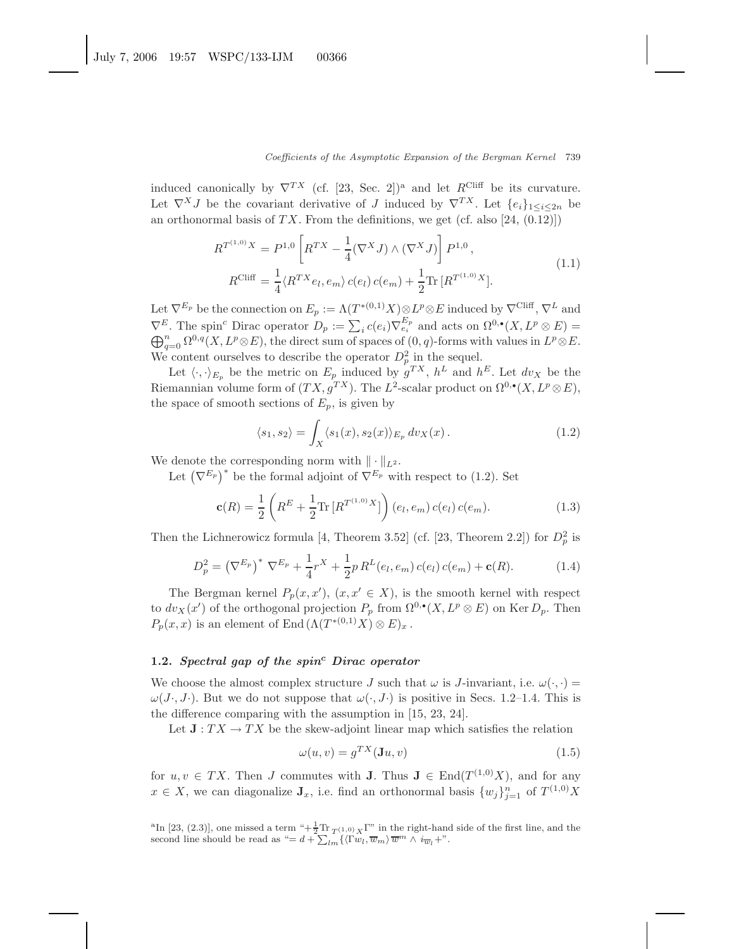induced canonically by  $\nabla^{TX}$  (cf. [23, Sec. 2])<sup>a</sup> and let  $R^{\text{Cliff}}$  be its curvature. Let  $\nabla^X J$  be the covariant derivative of J induced by  $\nabla^{TX}$ . Let  $\{e_i\}_{1\leq i\leq 2n}$  be an orthonormal basis of  $TX$ . From the definitions, we get (cf. also [24, (0.12)])

$$
R^{T^{(1,0)}X} = P^{1,0} \left[ R^{TX} - \frac{1}{4} (\nabla^X J) \wedge (\nabla^X J) \right] P^{1,0},
$$
  
\n
$$
R^{\text{Cliff}} = \frac{1}{4} \langle R^{TX} e_l, e_m \rangle c(e_l) c(e_m) + \frac{1}{2} \text{Tr} \left[ R^{T^{(1,0)}X} \right].
$$
\n(1.1)

Let  $\nabla^{E_p}$  be the connection on  $E_p := \Lambda(T^{*(0,1)}X) \otimes L^p \otimes E$  induced by  $\nabla^{\text{Cliff}}$ ,  $\nabla^L$  and  $\nabla^E$ . The spin<sup>c</sup> Dirac operator  $D_p := \sum_i c(e_i) \nabla_{e_i}^{E_p}$  and acts on  $\Omega^{0,\bullet}(X, L^p \otimes E) =$ <br>  $\bigoplus_{a=0}^n \Omega^{0,q}(X, L^p \otimes E)$ , the direct sum of spaces of  $(0, q)$ -forms with values in  $L^p \otimes E$ .  $\bigoplus_{a=0}^n \Omega^{0,q}(X, L^p \otimes E)$ , the direct sum of spaces of  $(0, q)$ -forms with values in  $L^p \otimes E$ . We content ourselves to describe the operator  $D_p^2$  in the sequel.

Let  $\langle \cdot, \cdot \rangle_{E_p}$  be the metric on  $E_p$  induced by  $g^{TX}$ ,  $h^L$  and  $h^E$ . Let  $dv_X$  be the Riemannian volume form of  $(TX, g^{TX})$ . The  $L^2$ -scalar product on  $\Omega^{0,\bullet}(X, L^p \otimes E)$ , the space of smooth sections of  $E_p$ , is given by

$$
\langle s_1, s_2 \rangle = \int_X \langle s_1(x), s_2(x) \rangle_{E_p} dv_X(x).
$$
 (1.2)

We denote the corresponding norm with  $\|\cdot\|_{L^2}$ .

Let  $(\nabla^{E_p})^*$  be the formal adjoint of  $\nabla^{E_p}$  with respect to (1.2). Set

$$
\mathbf{c}(R) = \frac{1}{2} \left( R^E + \frac{1}{2} \text{Tr} \left[ R^{T^{(1,0)}} X \right] \right) (e_l, e_m) c(e_l) c(e_m). \tag{1.3}
$$

Then the Lichnerowicz formula [4, Theorem 3.52] (cf. [23, Theorem 2.2]) for  $D_p^2$  is

$$
D_p^2 = (\nabla^{E_p})^* \nabla^{E_p} + \frac{1}{4}r^X + \frac{1}{2}p R^L(e_l, e_m) c(e_l) c(e_m) + \mathbf{c}(R).
$$
 (1.4)

The Bergman kernel  $P_p(x, x')$ ,  $(x, x' \in X)$ , is the smooth kernel with respect to  $dv_X(x')$  of the orthogonal projection  $P_p$  from  $\Omega^{0,\bullet}(X, L^p \otimes E)$  on Ker  $D_p$ . Then  $P_p(x, x)$  is an element of End  $(\Lambda(T^{*(0,1)}X) \otimes E)_x$ .

## **1.2.** *Spectral gap of the spin<sup>c</sup> Dirac operator*

We choose the almost complex structure J such that  $\omega$  is J-invariant, i.e.  $\omega(\cdot, \cdot)$  =  $\omega(J,\bar{J}\cdot)$ . But we do not suppose that  $\omega(\cdot,\bar{J}\cdot)$  is positive in Secs. 1.2–1.4. This is the difference comparing with the assumption in [15, 23, 24].

Let  $J: TX \to TX$  be the skew-adjoint linear map which satisfies the relation

$$
\omega(u, v) = g^{TX}(\mathbf{J}u, v) \tag{1.5}
$$

for  $u, v \in TX$ . Then J commutes with **J**. Thus  $\mathbf{J} \in \text{End}(T^{(1,0)}X)$ , and for any  $x \in X$ , we can diagonalize **J**<sub>x</sub>, i.e. find an orthonormal basis  $\{w_j\}_{j=1}^n$  of  $T^{(1,0)}X$ 

<sup>a</sup>In [23, (2.3)], one missed a term " $+\frac{1}{2}\text{Tr}_{T^{(1,0)}X}\Gamma$ " in the right-hand side of the first line, and the second line should be read as "=  $d + \sum_{lm} \{(\Gamma w_l, \overline{w}_m) \overline{w}^m \wedge i_{\overline{w}_l} + \cdots \}$ .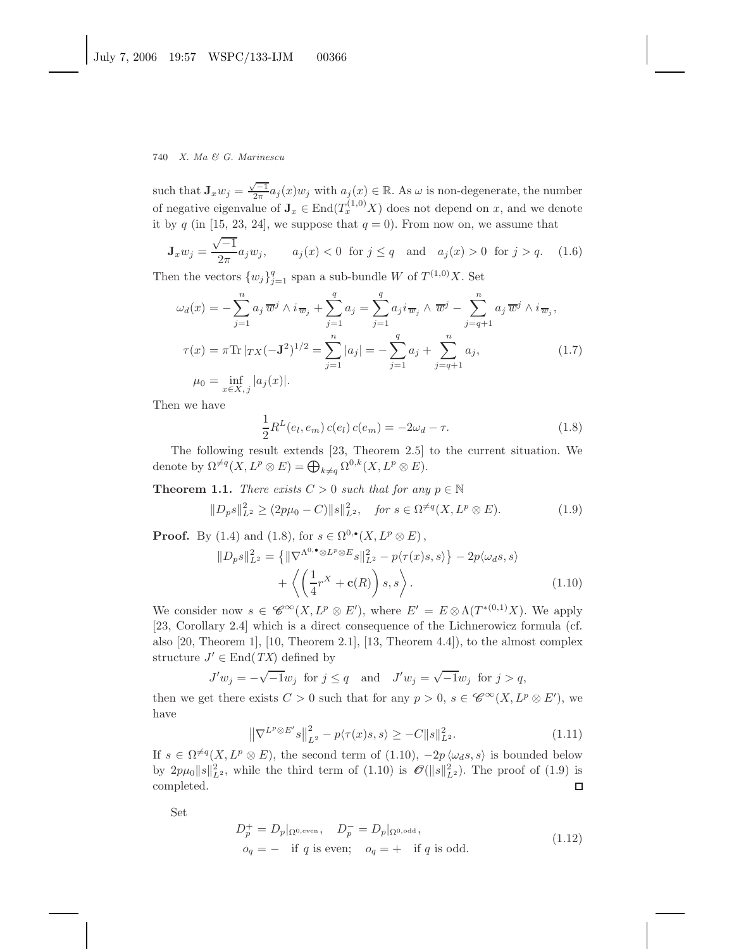such that  $\mathbf{J}_x w_j = \frac{\sqrt{-1}}{2\pi} a_j(x) w_j$  with  $a_j(x) \in \mathbb{R}$ . As  $\omega$  is non-degenerate, the number of negative eigenvalue of  $\mathbf{J}_x \in \text{End}(T_x^{(1,0)}X)$  does not depend on x, and we denote it by q (in [15, 23, 24], we suppose that  $q = 0$ ). From now on, we assume that

$$
\mathbf{J}_x w_j = \frac{\sqrt{-1}}{2\pi} a_j w_j, \qquad a_j(x) < 0 \text{ for } j \le q \quad \text{and} \quad a_j(x) > 0 \text{ for } j > q. \tag{1.6}
$$

Then the vectors  $\{w_j\}_{j=1}^q$  span a sub-bundle W of  $T^{(1,0)}X$ . Set

$$
\omega_d(x) = -\sum_{j=1}^n a_j \, \overline{w}^j \wedge i \, \overline{w}_j + \sum_{j=1}^q a_j = \sum_{j=1}^q a_j i \, \overline{w}_j \wedge \overline{w}^j - \sum_{j=q+1}^n a_j \, \overline{w}^j \wedge i \, \overline{w}_j,
$$
  

$$
\tau(x) = \pi \text{Tr} |_{TX} (-\mathbf{J}^2)^{1/2} = \sum_{j=1}^n |a_j| = -\sum_{j=1}^q a_j + \sum_{j=q+1}^n a_j,
$$
  

$$
\mu_0 = \inf_{x \in X, j} |a_j(x)|.
$$
 (1.7)

Then we have

$$
\frac{1}{2}R^{L}(e_{l}, e_{m}) c(e_{l}) c(e_{m}) = -2\omega_{d} - \tau.
$$
\n(1.8)

The following result extends [23, Theorem 2.5] to the current situation. We denote by  $\Omega^{\neq q}(X, L^p \otimes E) = \bigoplus_{k \neq q} \Omega^{0,k}(X, L^p \otimes E).$ 

**Theorem 1.1.** *There exists*  $C > 0$  *such that for any*  $p \in \mathbb{N}$ 

$$
||D_p s||_{L^2}^2 \ge (2p\mu_0 - C) ||s||_{L^2}^2, \quad \text{for } s \in \Omega^{\neq q}(X, L^p \otimes E). \tag{1.9}
$$

**Proof.** By (1.4) and (1.8), for  $s \in \Omega^{0,\bullet}(X, L^p \otimes E)$ ,

$$
||D_p s||_{L^2}^2 = \{ ||\nabla^{\Lambda^0, \bullet} \otimes L^p \otimes E_s||_{L^2}^2 - p\langle \tau(x)s, s \rangle \} - 2p\langle \omega_d s, s \rangle + \left\langle \left(\frac{1}{4}r^X + \mathbf{c}(R)\right)s, s \right\rangle.
$$
 (1.10)

We consider now  $s \in \mathscr{C}^{\infty}(X, L^p \otimes E')$ , where  $E' = E \otimes \Lambda(T^{*(0,1)}X)$ . We apply [23, Corollary 2.4] which is a direct consequence of the Lichnerowicz formula (cf. also [20, Theorem 1], [10, Theorem 2.1], [13, Theorem 4.4]), to the almost complex structure  $J' \in$  End(*TX*) defined by

$$
J'w_j = -\sqrt{-1}w_j \text{ for } j \le q \text{ and } J'w_j = \sqrt{-1}w_j \text{ for } j > q,
$$

then we get there exists  $C > 0$  such that for any  $p > 0$ ,  $s \in \mathscr{C}^{\infty}(X, L^p \otimes E')$ , we have

$$
\left\|\nabla^{L^{p}\otimes E'}s\right\|_{L^{2}}^{2} - p\langle\tau(x)s,s\rangle \geq -C\|s\|_{L^{2}}^{2}.
$$
\n(1.11)

If  $s \in \Omega^{\neq q}(X, L^p \otimes E)$ , the second term of  $(1.10), -2p \langle \omega_d s, s \rangle$  is bounded below by  $2p\mu_0||s||_{L^2}^2$ , while the third term of  $(1.10)$  is  $\mathcal{O}(||s||_{L^2}^2)$ . The proof of  $(1.9)$  is completed.  $\Box$ 

Set

$$
D_p^+ = D_p|_{\Omega^{0,\text{even}}}, \quad D_p^- = D_p|_{\Omega^{0,\text{odd}}},
$$
  

$$
o_q = - \quad \text{if } q \text{ is even}; \quad o_q = + \quad \text{if } q \text{ is odd}.
$$
 (1.12)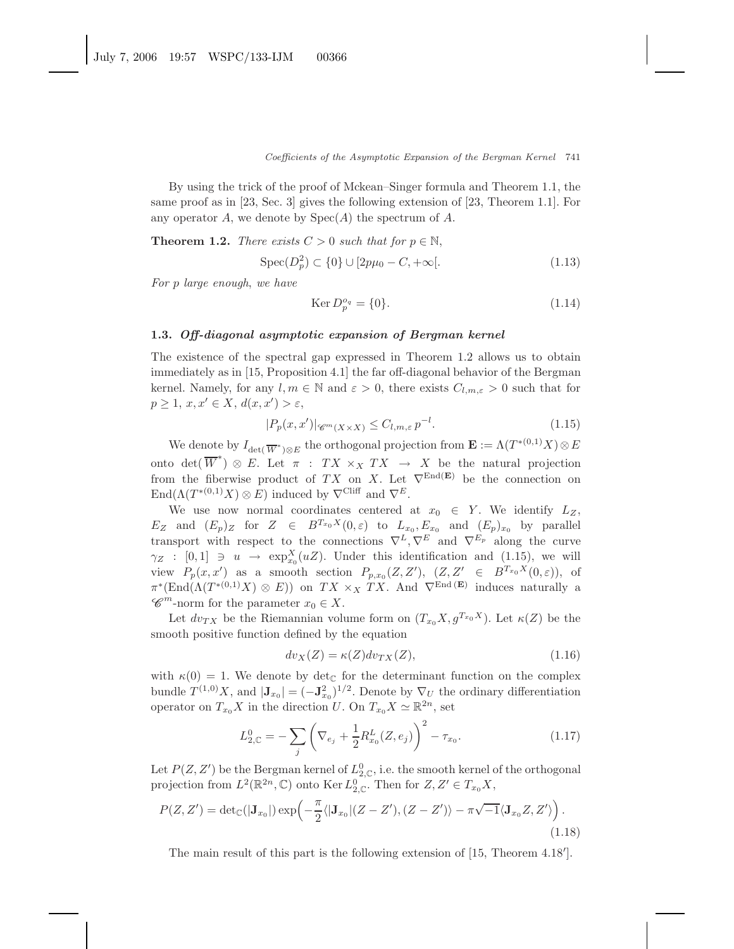By using the trick of the proof of Mckean–Singer formula and Theorem 1.1, the same proof as in [23, Sec. 3] gives the following extension of [23, Theorem 1.1]. For any operator A, we denote by  $Spec(A)$  the spectrum of A.

**Theorem 1.2.** *There exists*  $C > 0$  *such that for*  $p \in \mathbb{N}$ ,

$$
Spec(D_p^2) \subset \{0\} \cup [2p\mu_0 - C, +\infty[.
$$
\n(1.13)

*For* p *large enough*, *we have*

$$
\operatorname{Ker} D_p^{o_q} = \{0\}.\tag{1.14}
$$

## **1.3.** *Off-diagonal asymptotic expansion of Bergman kernel*

The existence of the spectral gap expressed in Theorem 1.2 allows us to obtain immediately as in [15, Proposition 4.1] the far off-diagonal behavior of the Bergman kernel. Namely, for any  $l, m \in \mathbb{N}$  and  $\varepsilon > 0$ , there exists  $C_{l,m,\varepsilon} > 0$  such that for  $p \geq 1, x, x' \in X, d(x, x') > \varepsilon,$ 

$$
|P_p(x, x')| \mathcal{C}^m(x \times x) \le C_{l,m,\varepsilon} p^{-l}.\tag{1.15}
$$

We denote by  $I_{\det(\overline{W}^*)\otimes E}$  the orthogonal projection from  $\mathbf{E} := \Lambda(T^{*(0,1)}X)\otimes E$ onto det( $\overline{W}^*$ )  $\otimes$  E. Let  $\pi$ : TX  $\times_X TX \to X$  be the natural projection from the fiberwise product of TX on X. Let  $\nabla^{\text{End}(E)}$  be the connection on  $\text{End}(\Lambda(T^{*(0,1)}X)\otimes E)$  induced by  $\nabla^{\text{Cliff}}$  and  $\nabla^E$ .

We use now normal coordinates centered at  $x_0 \in Y$ . We identify  $L_Z$ ,  $E_Z$  and  $(E_p)_Z$  for  $Z \in B^{T_{x_0}X}(0,\varepsilon)$  to  $L_{x_0}, E_{x_0}$  and  $(E_p)_{x_0}$  by parallel transport with respect to the connections  $\nabla^L, \nabla^E$  and  $\nabla^{E_p}$  along the curve  $\gamma_Z$  : [0, 1]  $\Rightarrow$   $u \rightarrow \exp_{x_0}^X(uZ)$ . Under this identification and (1.15), we will view  $P_p(x, x')$  as a smooth section  $P_{p,x_0}(Z, Z')$ ,  $(Z, Z' \in B^{T_{x_0}X}(0, \varepsilon))$ , of  $\pi^*(\text{End}(\Lambda(T^{*(0,1)}X) \otimes E))$  on  $TX \times_X TX$ . And  $\nabla^{\text{End}}(E)$  induces naturally a  $\mathscr{C}^m$ -norm for the parameter  $x_0 \in X$ .

Let  $dv_{TX}$  be the Riemannian volume form on  $(T_{x_0}X, g^{T_{x_0}X})$ . Let  $\kappa(Z)$  be the smooth positive function defined by the equation

$$
dv_X(Z) = \kappa(Z)dv_{TX}(Z),\tag{1.16}
$$

with  $\kappa(0) = 1$ . We denote by det<sub>C</sub> for the determinant function on the complex bundle  $T^{(1,0)}X$ , and  $|\mathbf{J}_{x_0}| = (-\mathbf{J}_{x_0}^2)^{1/2}$ . Denote by  $\nabla_U$  the ordinary differentiation operator on  $T_{x_0}X$  in the direction U. On  $T_{x_0}X \simeq \mathbb{R}^{2n}$ , set

$$
L_{2,C}^{0} = -\sum_{j} \left( \nabla_{e_j} + \frac{1}{2} R_{x_0}^{L}(Z, e_j) \right)^2 - \tau_{x_0}.
$$
 (1.17)

Let  $P(Z, Z')$  be the Bergman kernel of  $L^0_{2,\mathbb{C}}$ , i.e. the smooth kernel of the orthogonal projection from  $L^2(\mathbb{R}^{2n}, \mathbb{C})$  onto Ker  $L^0_{2,\mathbb{C}}$ . Then for  $Z, Z' \in T_{x_0}X$ ,

$$
P(Z, Z') = \det_{\mathbb{C}}(|\mathbf{J}_{x_0}|) \exp\left(-\frac{\pi}{2} \langle |\mathbf{J}_{x_0}| (Z - Z'), (Z - Z')\rangle - \pi \sqrt{-1} \langle \mathbf{J}_{x_0} Z, Z'\rangle\right).
$$
\n(1.18)

The main result of this part is the following extension of [15, Theorem 4.18 ].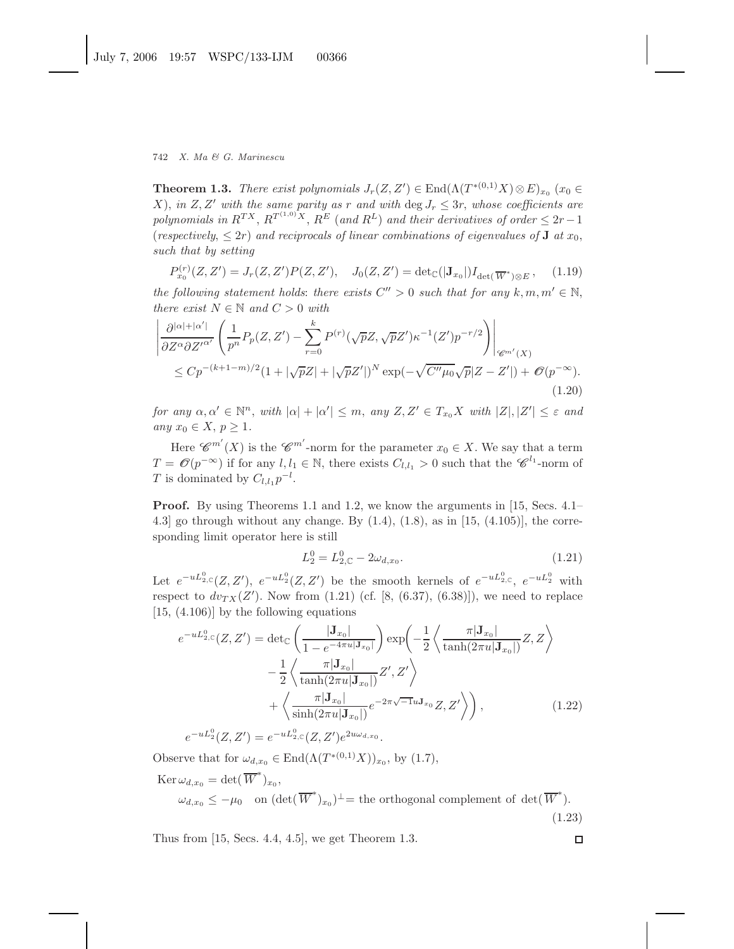**Theorem 1.3.** *There exist polynomials*  $J_r(Z, Z') \in \text{End}(\Lambda(T^{*(0,1)}X) \otimes E)_{x_0}$  ( $x_0 \in$ X), *in* Z, Z' with the same parity as r and with deg  $J_r \leq 3r$ , whose coefficients are *polynomials in*  $R^{TX}$ ,  $R^{T^{(1,0)}X}$ ,  $R^{E}$  (*and*  $R^{L}$ ) *and their derivatives of order*  $\leq 2r-1$ (*respectively*,  $\leq 2r$ ) *and reciprocals of linear combinations of eigenvalues of* **J** *at*  $x_0$ , *such that by setting*

$$
P_{x_0}^{(r)}(Z, Z') = J_r(Z, Z')P(Z, Z'), \quad J_0(Z, Z') = \det_{\mathbb{C}}(|\mathbf{J}_{x_0}|)I_{\det(\overline{W}^*)\otimes E}, \quad (1.19)
$$

*the following statement holds: there exists*  $C'' > 0$  *such that for any*  $k, m, m' \in \mathbb{N}$ , *there exist*  $N \in \mathbb{N}$  *and*  $C > 0$  *with* 

$$
\left| \frac{\partial^{|\alpha|+|\alpha'|}}{\partial Z^{\alpha} \partial Z'^{\alpha'}} \left( \frac{1}{p^n} P_p(Z, Z') - \sum_{r=0}^k P^{(r)}(\sqrt{p}Z, \sqrt{p}Z') \kappa^{-1}(Z') p^{-r/2} \right) \right|_{\mathscr{C}^{m'}(X)} \n\leq C p^{-(k+1-m)/2} (1 + |\sqrt{p}Z| + |\sqrt{p}Z'|)^N \exp(-\sqrt{C''\mu_0} \sqrt{p}|Z - Z'|) + \mathcal{O}(p^{-\infty}).
$$
\n(1.20)

*for any*  $\alpha, \alpha' \in \mathbb{N}^n$ , *with*  $|\alpha| + |\alpha'| \leq m$ , *any*  $Z, Z' \in T_{x_0}X$  *with*  $|Z|, |Z'| \leq \varepsilon$  *and any*  $x_0 \in X$ ,  $p > 1$ .

Here  $\mathscr{C}^{m'}(X)$  is the  $\mathscr{C}^{m'}$ -norm for the parameter  $x_0 \in X$ . We say that a term  $T = \mathcal{O}(p^{-\infty})$  if for any  $l, l_1 \in \mathbb{N}$ , there exists  $C_{l,l_1} > 0$  such that the  $\mathscr{C}^{l_1}$ -norm of T is dominated by  $C_{l,l_1}p^{-l}$ .

**Proof.** By using Theorems 1.1 and 1.2, we know the arguments in [15, Secs. 4.1– 4.3] go through without any change. By  $(1.4)$ ,  $(1.8)$ , as in [15,  $(4.105)$ ], the corresponding limit operator here is still

$$
L_2^0 = L_{2,\mathbb{C}}^0 - 2\omega_{d,x_0}.\tag{1.21}
$$

Let  $e^{-uL_{2,\mathbb{C}}^0}(Z,Z'), e^{-uL_2^0}(Z,Z')$  be the smooth kernels of  $e^{-uL_{2,\mathbb{C}}^0}, e^{-uL_2^0}$  with respect to  $dv_{TX}(Z')$ . Now from  $(1.21)$  (cf. [8,  $(6.37)$ ,  $(6.38)$ ]), we need to replace [15, (4.106)] by the following equations

$$
e^{-uL_{2,C}^{0}}(Z, Z') = \det_{\mathbb{C}}\left(\frac{|\mathbf{J}_{x_{0}}|}{1 - e^{-4\pi u|\mathbf{J}_{x_{0}}|}}\right) \exp\left(-\frac{1}{2}\left\langle\frac{\pi|\mathbf{J}_{x_{0}}|}{\tanh(2\pi u|\mathbf{J}_{x_{0}}|)}Z, Z\right\rangle - \frac{1}{2}\left\langle\frac{\pi|\mathbf{J}_{x_{0}}|}{\tanh(2\pi u|\mathbf{J}_{x_{0}}|)}Z', Z'\right\rangle + \left\langle\frac{\pi|\mathbf{J}_{x_{0}}|}{\sinh(2\pi u|\mathbf{J}_{x_{0}}|)}e^{-2\pi\sqrt{-1}u\mathbf{J}_{x_{0}}}Z, Z'\right\rangle\right),
$$
\n
$$
e^{-uL_{2}^{0}}(Z, Z') = e^{-uL_{2,C}^{0}}(Z, Z')e^{2u\omega_{d,x_{0}}}.
$$
\n(1.22)

Observe that for  $\omega_{d,x_0} \in \text{End}(\Lambda(T^{*(0,1)}X))_{x_0}$ , by (1.7),

$$
\text{Ker}\,\omega_{d,x_0} = \det(\overline{W}^*)_{x_0},
$$
\n
$$
\omega_{d,x_0} \le -\mu_0 \quad \text{on } (\det(\overline{W}^*)_{x_0})^\perp = \text{the orthogonal complement of } \det(\overline{W}^*).
$$
\n(1.23)

Thus from [15, Secs. 4.4, 4.5], we get Theorem 1.3.

 $\Box$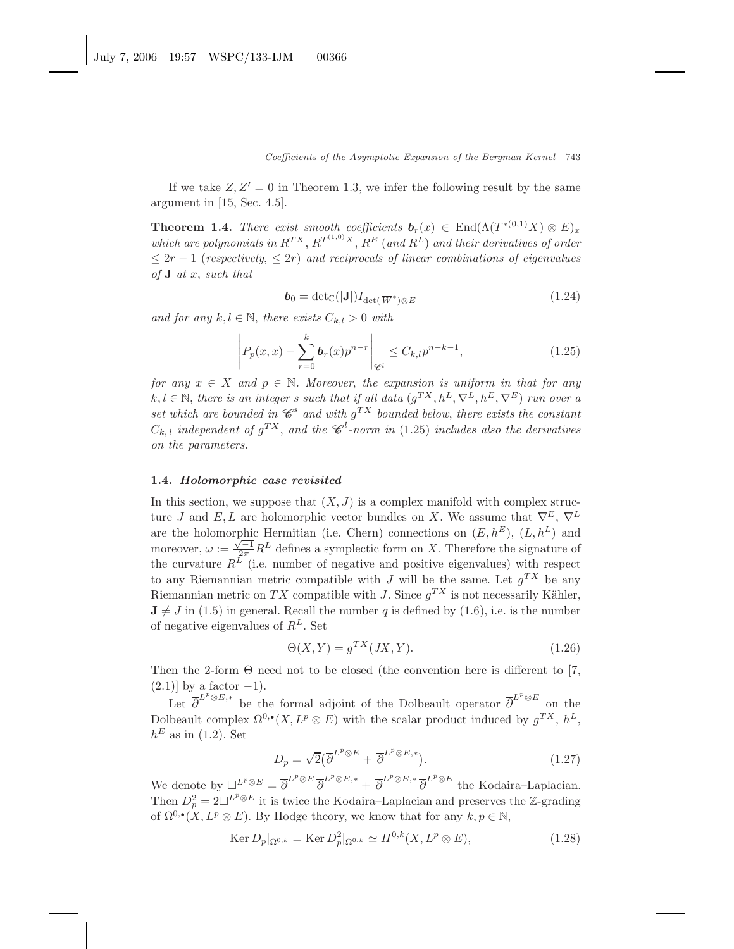If we take  $Z, Z' = 0$  in Theorem 1.3, we infer the following result by the same argument in [15, Sec. 4.5].

**Theorem 1.4.** *There exist smooth coefficients*  $\mathbf{b}_r(x) \in \text{End}(\Lambda(T^{*(0,1)}X) \otimes E)_x$ which are polynomials in  $R^{TX}$ ,  $R^{T^{(1,0)}X}$ ,  $R^{E}$  (and  $R^{L}$ ) and their derivatives of order  $\leq 2r - 1$  (*respectively*,  $\leq 2r$ ) *and reciprocals of linear combinations of eigenvalues of* **J** *at* x, *such that*

$$
\boldsymbol{b}_0 = \det_{\mathbb{C}}(|\mathbf{J}|) I_{\det(\overline{W}^*) \otimes E} \tag{1.24}
$$

*and for any*  $k, l \in \mathbb{N}$ , *there exists*  $C_{k,l} > 0$  *with* 

$$
\left| P_p(x,x) - \sum_{r=0}^k b_r(x) p^{n-r} \right|_{\mathscr{C}^l} \le C_{k,l} p^{n-k-1}, \tag{1.25}
$$

*for any*  $x \in X$  *and*  $p \in \mathbb{N}$ *. Moreover, the expansion is uniform in that for any*  $k, l \in \mathbb{N}$ , there is an integer s such that if all data  $(q^{TX}, h^L, \nabla^L, h^E, \nabla^E)$  *run over a set which are bounded in*  $\mathscr{C}^s$  *and with*  $q^{TX}$  *bounded below, there exists the constant*  $C_{k,l}$  *independent of*  $g^{TX}$ , *and the*  $\mathscr{C}^{l}$ -norm *in* (1.25) *includes also the derivatives on the parameters.*

#### **1.4.** *Holomorphic case revisited*

In this section, we suppose that  $(X, J)$  is a complex manifold with complex structure J and E, L are holomorphic vector bundles on X. We assume that  $\nabla^E$ ,  $\nabla^L$ are the holomorphic Hermitian (i.e. Chern) connections on  $(E, h^E)$ ,  $(L, h^L)$  and moreover,  $\omega := \frac{\sqrt{1-1}}{2\pi} R^L$  defines a symplectic form on X. Therefore the signature of the curvature  $R^L$  (i.e. number of negative and positive eigenvalues) with respect to any Riemannian metric compatible with J will be the same. Let  $q^{TX}$  be any Riemannian metric on TX compatible with J. Since  $q^{TX}$  is not necessarily Kähler,  $J \neq J$  in (1.5) in general. Recall the number q is defined by (1.6), i.e. is the number of negative eigenvalues of  $R^L$ . Set

$$
\Theta(X,Y) = g^{TX}(JX,Y). \tag{1.26}
$$

Then the 2-form  $\Theta$  need not to be closed (the convention here is different to [7,  $(2.1)$ ] by a factor  $-1$ ).

Let  $\overline{\partial}^{L^p \otimes E,*}$  be the formal adjoint of the Dolbeault operator  $\overline{\partial}^{L^p \otimes E}$  on the Dolbeault complex  $\Omega^{0,\bullet}(X, L^p \otimes E)$  with the scalar product induced by  $q^{TX}$ ,  $h^L$ ,  $h^E$  as in (1.2). Set

$$
D_p = \sqrt{2} \left( \overline{\partial}^{L^p \otimes E} + \overline{\partial}^{L^p \otimes E,*} \right). \tag{1.27}
$$

We denote by  $\Box^{L^p \otimes E} = \overline{\partial}^{L^p \otimes E} \overline{\partial}^{L^p \otimes E,*} + \overline{\partial}^{L^p \otimes E,*} \overline{\partial}^{L^p \otimes E}$  the Kodaira–Laplacian. Then  $D_p^2 = 2\Box^{L^p \otimes E}$  it is twice the Kodaira–Laplacian and preserves the Z-grading of  $\Omega^{0,\bullet}(X, L^p \otimes E)$ . By Hodge theory, we know that for any  $k, p \in \mathbb{N}$ ,

$$
\operatorname{Ker} D_p|_{\Omega^{0,k}} = \operatorname{Ker} D_p^2|_{\Omega^{0,k}} \simeq H^{0,k}(X, L^p \otimes E),\tag{1.28}
$$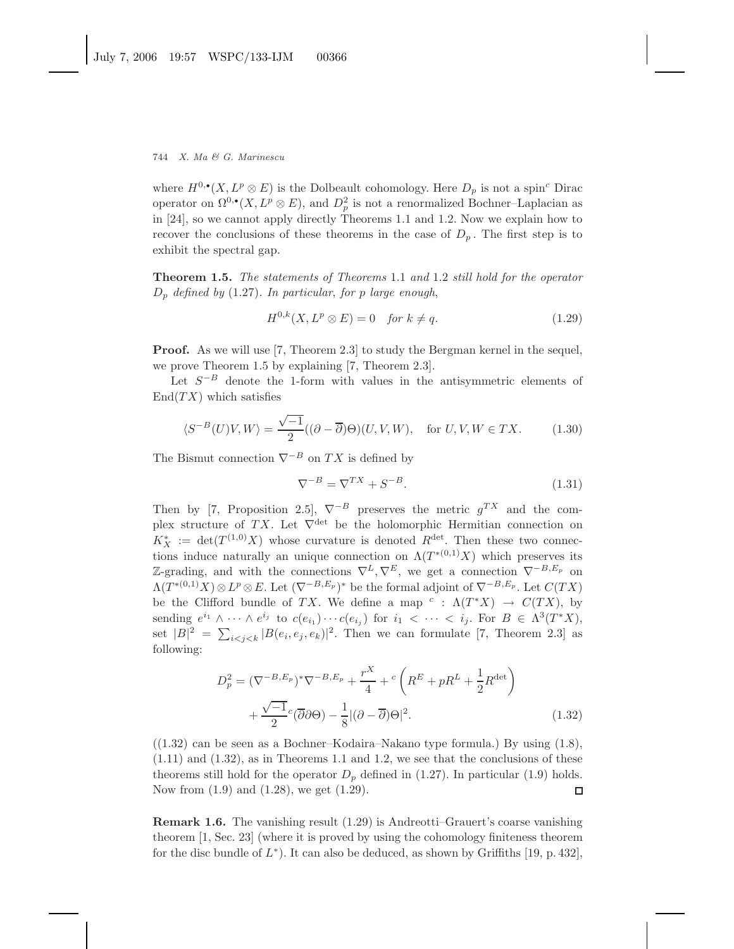where  $H^{0,\bullet}(X, L^p \otimes E)$  is the Dolbeault cohomology. Here  $D_p$  is not a spin<sup>c</sup> Dirac operator on  $\Omega^{0,\bullet}(X,L^p\otimes E)$ , and  $D_p^2$  is not a renormalized Bochner–Laplacian as in [24], so we cannot apply directly Theorems 1.1 and 1.2. Now we explain how to recover the conclusions of these theorems in the case of  $D_p$ . The first step is to exhibit the spectral gap.

**Theorem 1.5.** *The statements of Theorems* 1.1 *and* 1.2 *still hold for the operator* D<sup>p</sup> *defined by* (1.27)*. In particular*, *for* p *large enough*,

$$
H^{0,k}(X, L^p \otimes E) = 0 \quad \text{for } k \neq q. \tag{1.29}
$$

**Proof.** As we will use [7, Theorem 2.3] to study the Bergman kernel in the sequel, we prove Theorem 1.5 by explaining [7, Theorem 2.3].

Let  $S^{-B}$  denote the 1-form with values in the antisymmetric elements of  $\text{End}(TX)$  which satisfies

$$
\langle S^{-B}(U)V, W \rangle = \frac{\sqrt{-1}}{2}((\partial - \overline{\partial})\Theta)(U, V, W), \quad \text{for } U, V, W \in TX.
$$
 (1.30)

The Bismut connection  $\nabla^{-B}$  on TX is defined by

$$
\nabla^{-B} = \nabla^{TX} + S^{-B}.\tag{1.31}
$$

Then by [7, Proposition 2.5],  $\nabla^{-B}$  preserves the metric  $g^{TX}$  and the complex structure of TX. Let  $\nabla^{\text{det}}$  be the holomorphic Hermitian connection on  $K_X^* := \det(T^{(1,0)}X)$  whose curvature is denoted  $R^{\text{det}}$ . Then these two connections induce naturally an unique connection on  $\Lambda(T^{*(0,1)}X)$  which preserves its Z-grading, and with the connections  $\nabla^L, \nabla^E$ , we get a connection  $\nabla^{-B,E_p}$  on  $\Lambda(T^{*(0,1)}X)\otimes L^p\otimes E$ . Let  $(\nabla^{-B,E_p})^*$  be the formal adjoint of  $\nabla^{-B,E_p}$ . Let  $C(TX)$ be the Clifford bundle of TX. We define a map  $c : \Lambda(T^*X) \to C(TX)$ , by sending  $e^{i_1} \wedge \cdots \wedge e^{i_j}$  to  $c(e_{i_1}) \cdots c(e_{i_j})$  for  $i_1 < \cdots < i_j$ . For  $B \in \Lambda^3(T^*X)$ , set  $|B|^2 = \sum_{i < j < k} |B(e_i, e_j, e_k)|^2$ . Then we can formulate [7, Theorem 2.3] as following:

$$
D_p^2 = (\nabla^{-B, E_p})^* \nabla^{-B, E_p} + \frac{r^X}{4} + c \left( R^E + pR^L + \frac{1}{2} R^{\text{det}} \right) + \frac{\sqrt{-1}}{2} c (\overline{\partial} \partial \Theta) - \frac{1}{8} |(\partial - \overline{\partial}) \Theta|^2.
$$
 (1.32)

 $((1.32)$  can be seen as a Bochner–Kodaira–Nakano type formula.) By using  $(1.8)$ ,  $(1.11)$  and  $(1.32)$ , as in Theorems 1.1 and 1.2, we see that the conclusions of these theorems still hold for the operator  $D_p$  defined in (1.27). In particular (1.9) holds. Now from (1.9) and (1.28), we get (1.29).  $\Box$ 

**Remark 1.6.** The vanishing result  $(1.29)$  is Andreotti–Grauert's coarse vanishing theorem [1, Sec. 23] (where it is proved by using the cohomology finiteness theorem for the disc bundle of  $L^*$ ). It can also be deduced, as shown by Griffiths [19, p. 432],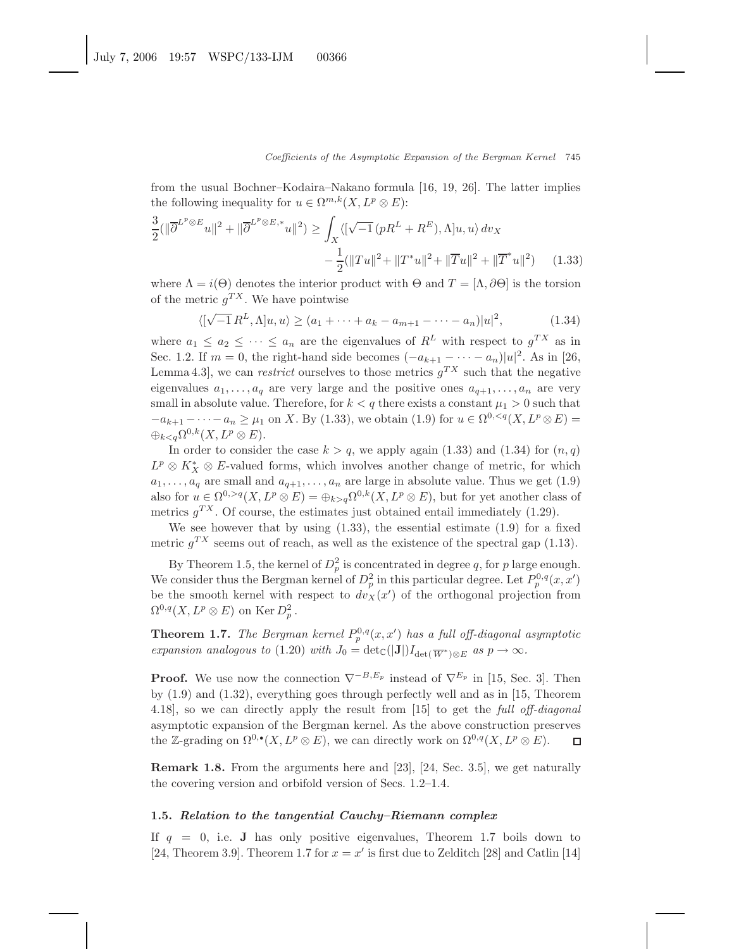from the usual Bochner–Kodaira–Nakano formula [16, 19, 26]. The latter implies the following inequality for  $u \in \Omega^{m,k}(X, L^p \otimes E)$ :

$$
\frac{3}{2}(\|\overline{\partial}^{L^p \otimes E} u\|^2 + \|\overline{\partial}^{L^p \otimes E,*} u\|^2) \ge \int_X \langle [\sqrt{-1}(pR^L + R^E), \Lambda] u, u \rangle \, dv_X
$$

$$
- \frac{1}{2}(\|Tu\|^2 + \|T^*u\|^2 + \|\overline{T}u\|^2 + \|\overline{T}^*u\|^2) \tag{1.33}
$$

where  $\Lambda = i(\Theta)$  denotes the interior product with  $\Theta$  and  $T = [\Lambda, \partial \Theta]$  is the torsion of the metric  $g^{TX}$ . We have pointwise

$$
\langle [\sqrt{-1} R^{L}, \Lambda] u, u \rangle \ge (a_1 + \dots + a_k - a_{m+1} - \dots - a_n) |u|^2,
$$
 (1.34)

where  $a_1 \le a_2 \le \cdots \le a_n$  are the eigenvalues of  $R^L$  with respect to  $g^{TX}$  as in Sec. 1.2. If  $m = 0$ , the right-hand side becomes  $(-a_{k+1} - \cdots - a_n)|u|^2$ . As in [26, Lemma 4.3, we can *restrict* ourselves to those metrics  $g^{TX}$  such that the negative eigenvalues  $a_1, \ldots, a_q$  are very large and the positive ones  $a_{q+1}, \ldots, a_n$  are very small in absolute value. Therefore, for  $k < q$  there exists a constant  $\mu_1 > 0$  such that  $-a_{k+1} - \cdots - a_n \geq \mu_1$  on X. By (1.33), we obtain (1.9) for  $u \in \Omega^{0, \leq q}(X, L^p \otimes E)$  $\bigoplus_{k < q} \Omega^{0,k}(X, L^p \otimes E).$ 

In order to consider the case  $k>q$ , we apply again (1.33) and (1.34) for  $(n,q)$  $L^p \otimes K_X^* \otimes E$ -valued forms, which involves another change of metric, for which  $a_1, \ldots, a_q$  are small and  $a_{q+1}, \ldots, a_n$  are large in absolute value. Thus we get (1.9) also for  $u \in \Omega^{0,>q}(X, L^p \otimes E) = \bigoplus_{k>q} \Omega^{0,k}(X, L^p \otimes E)$ , but for yet another class of metrics  $q^{TX}$ . Of course, the estimates just obtained entail immediately (1.29).

We see however that by using  $(1.33)$ , the essential estimate  $(1.9)$  for a fixed metric  $g^{TX}$  seems out of reach, as well as the existence of the spectral gap (1.13).

By Theorem 1.5, the kernel of  $D_p^2$  is concentrated in degree q, for p large enough. We consider thus the Bergman kernel of  $D_p^2$  in this particular degree. Let  $P_p^{0,q}(x, x')$ be the smooth kernel with respect to  $dv_X(x')$  of the orthogonal projection from  $\Omega^{0,q}(X,L^p\otimes E)$  on Ker  $D_p^2$ .

**Theorem 1.7.** *The Bergman kernel*  $P_p^{0,q}(x, x')$  *has a full off-diagonal asymptotic expansion analogous to* (1.20) *with*  $J_0 = \det_{\mathbb{C}}(|\mathbf{J}|)I_{\det(\overline{W^*})\otimes E}$  *as*  $p \to \infty$ *.* 

**Proof.** We use now the connection  $\nabla^{-B,E_p}$  instead of  $\nabla^{E_p}$  in [15, Sec. 3]. Then by (1.9) and (1.32), everything goes through perfectly well and as in [15, Theorem 4.18], so we can directly apply the result from [15] to get the *full off-diagonal* asymptotic expansion of the Bergman kernel. As the above construction preserves the Z-grading on  $\Omega^{0,\bullet}(X, L^p \otimes E)$ , we can directly work on  $\Omega^{0,q}(X, L^p \otimes E)$ .  $\Box$ 

**Remark 1.8.** From the arguments here and [23], [24, Sec. 3.5], we get naturally the covering version and orbifold version of Secs. 1.2–1.4.

#### **1.5.** *Relation to the tangential Cauchy–Riemann complex*

If  $q = 0$ , i.e. **J** has only positive eigenvalues, Theorem 1.7 boils down to [24, Theorem 3.9]. Theorem 1.7 for  $x = x'$  is first due to Zelditch [28] and Catlin [14]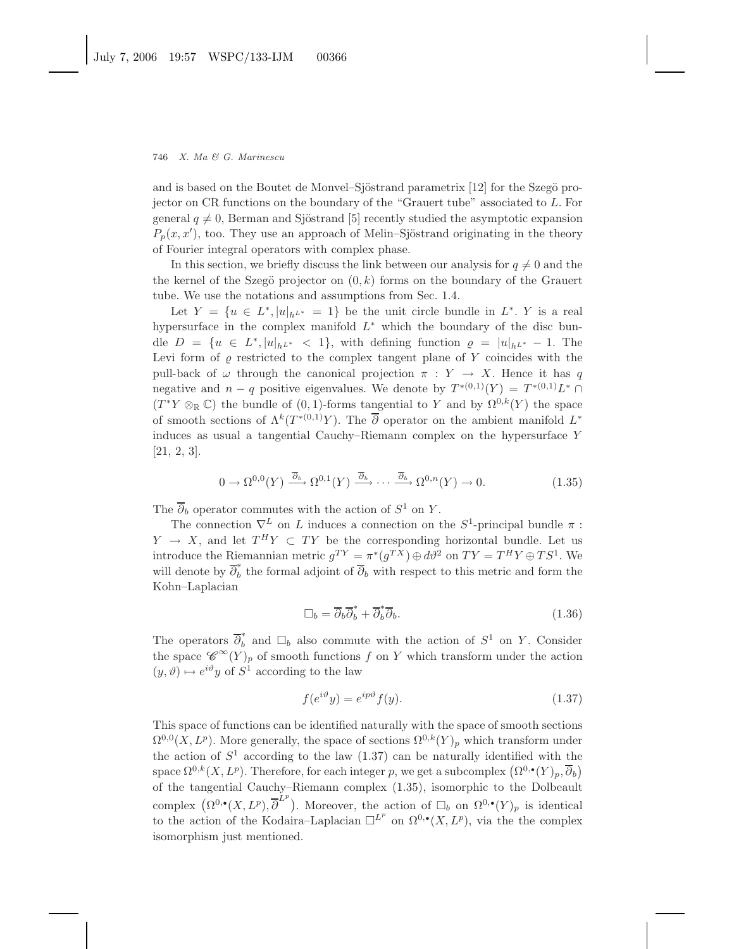and is based on the Boutet de Monvel–Sjöstrand parametrix [12] for the Szegö projector on CR functions on the boundary of the "Grauert tube" associated to L. For general  $q \neq 0$ , Berman and Sjöstrand [5] recently studied the asymptotic expansion  $P_p(x, x')$ , too. They use an approach of Melin–Sjöstrand originating in the theory of Fourier integral operators with complex phase.

In this section, we briefly discuss the link between our analysis for  $q \neq 0$  and the the kernel of the Szegö projector on  $(0, k)$  forms on the boundary of the Grauert tube. We use the notations and assumptions from Sec. 1.4.

Let  $Y = \{u \in L^*, |u|_{h^{L^*}} = 1\}$  be the unit circle bundle in  $L^*$ . Y is a real hypersurface in the complex manifold  $L^*$  which the boundary of the disc bundle  $D = \{u \in L^*, |u|_{h^{L^*}} < 1\}$ , with defining function  $\rho = |u|_{h^{L^*}} - 1$ . The Levi form of  $\rho$  restricted to the complex tangent plane of Y coincides with the pull-back of  $\omega$  through the canonical projection  $\pi : Y \to X$ . Hence it has q negative and  $n - q$  positive eigenvalues. We denote by  $T^{*(0,1)}(Y) = T^{*(0,1)}L^* \cap$  $(T^*Y \otimes_{\mathbb{R}} \mathbb{C})$  the bundle of  $(0, 1)$ -forms tangential to Y and by  $\Omega^{0,k}(Y)$  the space of smooth sections of  $\Lambda^k(T^{*(0,1)}Y)$ . The  $\overline{\partial}$  operator on the ambient manifold  $L^*$ induces as usual a tangential Cauchy–Riemann complex on the hypersurface Y [21, 2, 3].

$$
0 \to \Omega^{0,0}(Y) \xrightarrow{\overline{\partial}_b} \Omega^{0,1}(Y) \xrightarrow{\overline{\partial}_b} \cdots \xrightarrow{\overline{\partial}_b} \Omega^{0,n}(Y) \to 0. \tag{1.35}
$$

The  $\overline{\partial}_b$  operator commutes with the action of  $S^1$  on Y.

The connection  $\nabla^L$  on L induces a connection on the  $S^1$ -principal bundle  $\pi$ :  $Y \rightarrow X$ , and let  $T^H Y \subset T Y$  be the corresponding horizontal bundle. Let us introduce the Riemannian metric  $g^{TY} = \pi^*(g^{TX}) \oplus d\theta^2$  on  $TY = T^H Y \oplus T S^1$ . We will denote by  $\overline{\partial}_b^*$  the formal adjoint of  $\overline{\partial}_b$  with respect to this metric and form the Kohn–Laplacian

$$
\Box_b = \overline{\partial}_b \overline{\partial}_b^* + \overline{\partial}_b^* \overline{\partial}_b. \tag{1.36}
$$

The operators  $\overline{\partial}_b^*$  and  $\Box_b$  also commute with the action of  $S^1$  on Y. Consider the space  $\mathscr{C}^{\infty}(Y)_p$  of smooth functions f on Y which transform under the action  $(y, \vartheta) \mapsto e^{i\vartheta} y$  of  $S^1$  according to the law

$$
f(e^{i\vartheta}y) = e^{ip\vartheta}f(y).
$$
\n(1.37)

This space of functions can be identified naturally with the space of smooth sections  $\Omega^{0,0}(X,L^p)$ . More generally, the space of sections  $\Omega^{0,k}(Y)_p$  which transform under the action of  $S^1$  according to the law (1.37) can be naturally identified with the space  $\Omega^{0,k}(X, L^p)$ . Therefore, for each integer p, we get a subcomplex  $(\Omega^{0,\bullet}(Y)_p, \overline{\partial}_b)$ of the tangential Cauchy–Riemann complex (1.35), isomorphic to the Dolbeault complex  $(\Omega^{0,\bullet}(X,L^p), \overline{\partial}^{\tilde{L}^p})$ . Moreover, the action of  $\square_b$  on  $\Omega^{0,\bullet}(Y)_p$  is identical to the action of the Kodaira–Laplacian  $\square^{L^p}$  on  $\Omega^{0,\bullet}(X,L^p)$ , via the the complex isomorphism just mentioned.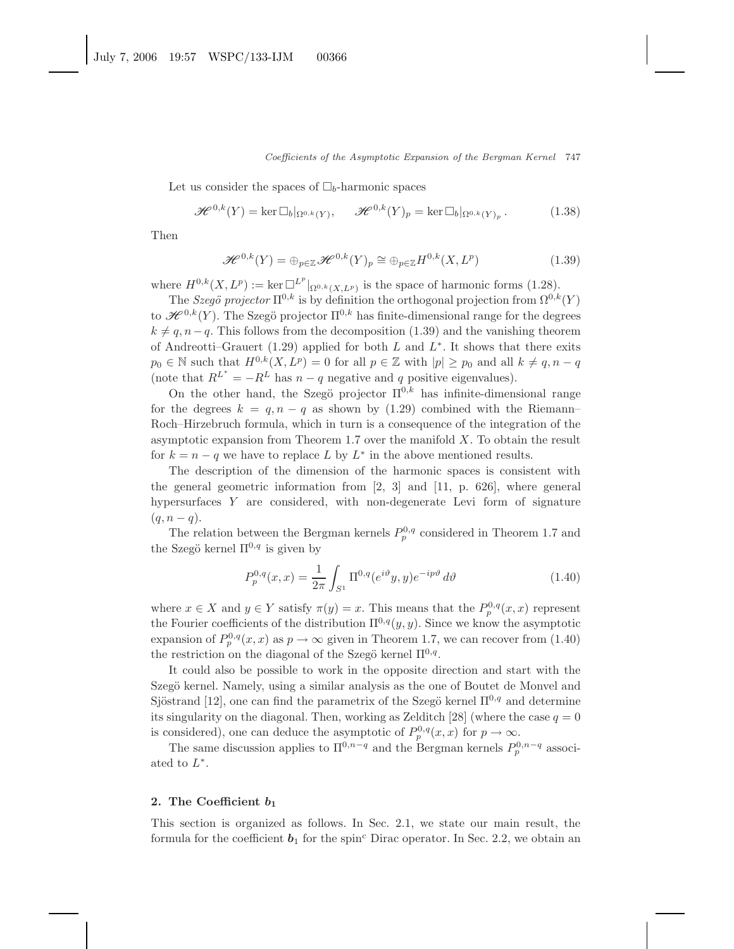Let us consider the spaces of  $\Box_b$ -harmonic spaces

$$
\mathcal{H}^{0,k}(Y) = \ker \Box_b|_{\Omega^{0,k}(Y)}, \qquad \mathcal{H}^{0,k}(Y)_p = \ker \Box_b|_{\Omega^{0,k}(Y)_p}.
$$
 (1.38)

Then

$$
\mathcal{H}^{0,k}(Y) = \bigoplus_{p \in \mathbb{Z}} \mathcal{H}^{0,k}(Y)_p \cong \bigoplus_{p \in \mathbb{Z}} H^{0,k}(X, L^p)
$$
(1.39)

where  $H^{0,k}(X, L^p) := \ker \Box^{L^p}|_{\Omega^{0,k}(X, L^p)}$  is the space of harmonic forms (1.28).

The *Szegö projector*  $\Pi^{0,k}$  is by definition the orthogonal projection from  $\Omega^{0,k}(Y)$ to  $\mathscr{H}^{0,k}(Y)$ . The Szegö projector  $\Pi^{0,k}$  has finite-dimensional range for the degrees  $k \neq q, n-q$ . This follows from the decomposition (1.39) and the vanishing theorem of Andreotti–Grauert (1.29) applied for both  $L$  and  $L^*$ . It shows that there exits  $p_0 \in \mathbb{N}$  such that  $H^{0,k}(X, L^p) = 0$  for all  $p \in \mathbb{Z}$  with  $|p| \geq p_0$  and all  $k \neq q, n - q$ (note that  $R^{L^*} = -R^L$  has  $n - q$  negative and q positive eigenvalues).

On the other hand, the Szegö projector  $\Pi^{0,k}$  has infinite-dimensional range for the degrees  $k = q, n - q$  as shown by (1.29) combined with the Riemann– Roch–Hirzebruch formula, which in turn is a consequence of the integration of the asymptotic expansion from Theorem 1.7 over the manifold  $X$ . To obtain the result for  $k = n - q$  we have to replace L by  $L^*$  in the above mentioned results.

The description of the dimension of the harmonic spaces is consistent with the general geometric information from [2, 3] and [11, p. 626], where general hypersurfaces  $Y$  are considered, with non-degenerate Levi form of signature  $(q, n - q).$ 

The relation between the Bergman kernels  $P_p^{0,q}$  considered in Theorem 1.7 and the Szegö kernel  $\Pi^{0,q}$  is given by

$$
P_p^{0,q}(x,x) = \frac{1}{2\pi} \int_{S^1} \Pi^{0,q}(e^{i\vartheta}y,y)e^{-ip\vartheta} d\vartheta
$$
 (1.40)

where  $x \in X$  and  $y \in Y$  satisfy  $\pi(y) = x$ . This means that the  $P_p^{0,q}(x, x)$  represent the Fourier coefficients of the distribution  $\Pi^{0,q}(y, y)$ . Since we know the asymptotic expansion of  $P_p^{0,q}(x, x)$  as  $p \to \infty$  given in Theorem 1.7, we can recover from (1.40) the restriction on the diagonal of the Szegö kernel  $\Pi^{0,q}$ .

It could also be possible to work in the opposite direction and start with the Szegö kernel. Namely, using a similar analysis as the one of Boutet de Monvel and Sjöstrand [12], one can find the parametrix of the Szegö kernel  $\Pi^{0,q}$  and determine its singularity on the diagonal. Then, working as Zelditch [28] (where the case  $q = 0$ is considered), one can deduce the asymptotic of  $P_p^{0,q}(x, x)$  for  $p \to \infty$ .

The same discussion applies to  $\Pi^{0,n-q}$  and the Bergman kernels  $P_p^{0,n-q}$  associated to  $L^*$ .

## **2. The Coefficient** *b***<sup>1</sup>**

This section is organized as follows. In Sec. 2.1, we state our main result, the formula for the coefficient  $\mathbf{b}_1$  for the spin<sup>c</sup> Dirac operator. In Sec. 2.2, we obtain an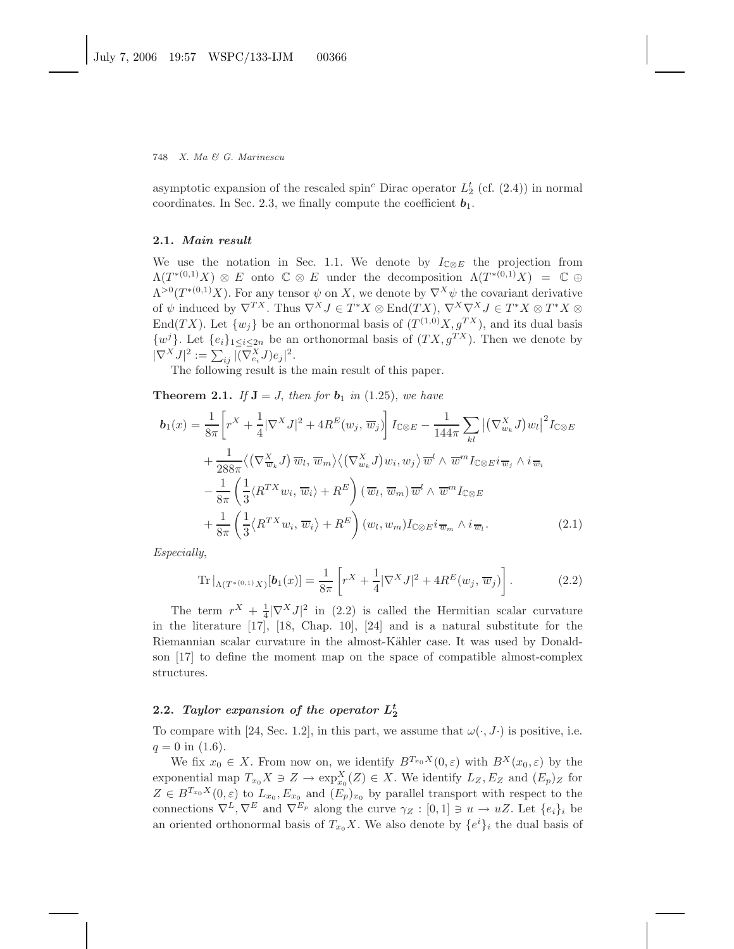asymptotic expansion of the rescaled spin<sup>c</sup> Dirac operator  $L_2^t$  (cf. (2.4)) in normal coordinates. In Sec. 2.3, we finally compute the coefficient **.** 

#### **2.1.** *Main result*

We use the notation in Sec. 1.1. We denote by  $I_{\mathbb{C}\otimes E}$  the projection from  $\Lambda(T^{*(0,1)}X) \otimes E$  onto  $\mathbb{C} \otimes E$  under the decomposition  $\Lambda(T^{*(0,1)}X) = \mathbb{C} \oplus$  $\Lambda^{>0}(T^{*(0,1)}X)$ . For any tensor  $\psi$  on X, we denote by  $\nabla^{X}\psi$  the covariant derivative of  $\psi$  induced by  $\nabla^{TX}$ . Thus  $\nabla^{X} J \in T^{*} X \otimes \text{End}(TX)$ ,  $\nabla^{X} \nabla^{X} J \in T^{*} X \otimes T^{*} X \otimes T^{*} X$ End(TX). Let  $\{w_j\}$  be an orthonormal basis of  $(T^{(1,0)}X, g^{TX})$ , and its dual basis  $\{w^j\}$ . Let  $\{e_i\}_{1\leq i\leq 2n}$  be an orthonormal basis of  $(TX, g^{TX})$ . Then we denote by  $|\nabla^X J|^2 := \sum_{ij} |\overline{(\nabla^X_{e_i} J)} e_j|^2.$ 

The following result is the main result of this paper.

**Theorem 2.1.** If  $J = J$ , then for  $b_1$  in (1.25), we have

$$
\mathbf{b}_{1}(x) = \frac{1}{8\pi} \Bigg[ r^{X} + \frac{1}{4} |\nabla^{X} J|^{2} + 4R^{E}(w_{j}, \overline{w}_{j}) \Bigg] I_{\mathbb{C}\otimes E} - \frac{1}{144\pi} \sum_{kl} |(\nabla_{w_{k}}^{X} J) w_{l}|^{2} I_{\mathbb{C}\otimes E} \n+ \frac{1}{288\pi} \langle (\nabla_{\overline{w}_{k}}^{X} J) \overline{w}_{l}, \overline{w}_{m} \rangle \langle (\nabla_{w_{k}}^{X} J) w_{i}, w_{j} \rangle \overline{w}^{l} \wedge \overline{w}^{m} I_{\mathbb{C}\otimes E} i \overline{w}_{j} \wedge i \overline{w}_{i} \n- \frac{1}{8\pi} \left( \frac{1}{3} \langle R^{TX} w_{i}, \overline{w}_{i} \rangle + R^{E} \right) (\overline{w}_{l}, \overline{w}_{m}) \overline{w}^{l} \wedge \overline{w}^{m} I_{\mathbb{C}\otimes E} \n+ \frac{1}{8\pi} \left( \frac{1}{3} \langle R^{TX} w_{i}, \overline{w}_{i} \rangle + R^{E} \right) (w_{l}, w_{m}) I_{\mathbb{C}\otimes E} i \overline{w}_{m} \wedge i \overline{w}_{l}.
$$
\n(2.1)

*Especially*,

Tr 
$$
|_{\Lambda(T^{*(0,1)}X)}[b_1(x)] = \frac{1}{8\pi} \left[ r^X + \frac{1}{4} |\nabla^X J|^2 + 4R^E(w_j, \overline{w}_j) \right].
$$
 (2.2)

The term  $r^X + \frac{1}{4} |\nabla^X J|^2$  in (2.2) is called the Hermitian scalar curvature in the literature [17], [18, Chap. 10], [24] and is a natural substitute for the Riemannian scalar curvature in the almost-Kähler case. It was used by Donaldson [17] to define the moment map on the space of compatible almost-complex structures.

# **2.2.** *Taylor expansion of the operator*  $L_2^t$

To compare with [24, Sec. 1.2], in this part, we assume that  $\omega(\cdot, J)$  is positive, i.e.  $q = 0$  in (1.6).

We fix  $x_0 \in X$ . From now on, we identify  $B^{T_{x_0}X}(0,\varepsilon)$  with  $B^{X}(x_0,\varepsilon)$  by the exponential map  $T_{x_0}X \ni Z \to \exp_{x_0}^X(Z) \in X$ . We identify  $L_Z, E_Z$  and  $(E_p)_Z$  for  $Z \in B^{T_{x_0}X}(0,\varepsilon)$  to  $L_{x_0}, E_{x_0}$  and  $(E_p)_{x_0}$  by parallel transport with respect to the connections  $\nabla^L, \nabla^E$  and  $\nabla^{E_p}$  along the curve  $\gamma_Z : [0,1] \ni u \to uZ$ . Let  $\{e_i\}_i$  be an oriented orthonormal basis of  $T_{x_0}X$ . We also denote by  $\{e^i\}_i$  the dual basis of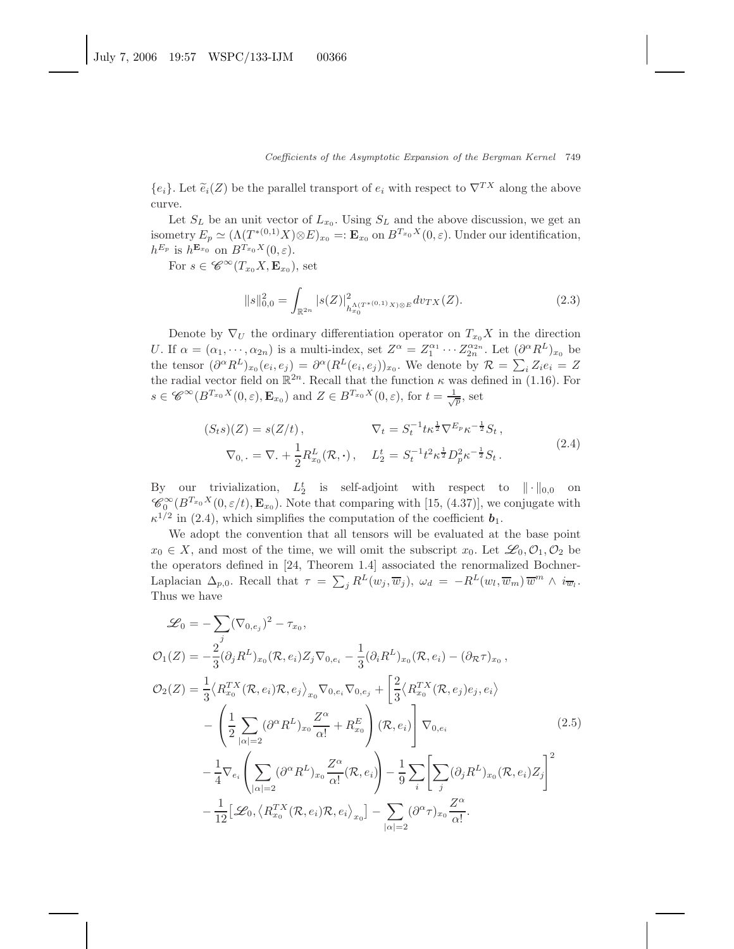${e_i}$ . Let  $\widetilde{e}_i(Z)$  be the parallel transport of  $e_i$  with respect to  $\nabla^{TX}$  along the above curve.

Let  $S_L$  be an unit vector of  $L_{x_0}$ . Using  $S_L$  and the above discussion, we get an isometry  $E_p \simeq (\Lambda(T^{*(0,1)}X)\otimes E)_{x_0} =: \mathbf{E}_{x_0}$  on  $B^{T_{x_0}X}(0,\varepsilon)$ . Under our identification,  $h^{E_p}$  is  $h^{\mathbf{E}_{x_0}}$  on  $B^{T_{x_0}X}(0,\varepsilon)$ .

For  $s \in \mathscr{C}^{\infty}(T_{x_0}X, \mathbf{E}_{x_0}),$  set

$$
||s||_{0,0}^2 = \int_{\mathbb{R}^{2n}} |s(Z)|^2_{h_{x_0}^{\Lambda(T^{*(0,1)}X)} \otimes E} dv_{TX}(Z).
$$
 (2.3)

Denote by  $\nabla_U$  the ordinary differentiation operator on  $T_{x_0}X$  in the direction U. If  $\alpha = (\alpha_1, \dots, \alpha_{2n})$  is a multi-index, set  $Z^{\alpha} = Z_1^{\alpha_1} \cdots Z_{2n}^{\alpha_{2n}}$ . Let  $(\partial^{\alpha} R^L)_{x_0}$  be the tensor  $(\partial^{\alpha} R^{L})_{x_0}(e_i, e_j) = \partial^{\alpha} (R^{L}(e_i, e_j))_{x_0}$ . We denote by  $\mathcal{R} = \sum_i Z_i e_i = Z_i$ the radial vector field on  $\mathbb{R}^{2n}$ . Recall that the function  $\kappa$  was defined in (1.16). For  $s \in \mathscr{C}^{\infty}(B^{T_{x_0}X}(0,\varepsilon), \mathbf{E}_{x_0})$  and  $Z \in B^{T_{x_0}X}(0,\varepsilon)$ , for  $t = \frac{1}{\sqrt{p}}$ , set

$$
(S_t s)(Z) = s(Z/t), \qquad \nabla_t = S_t^{-1} t \kappa^{\frac{1}{2}} \nabla^{E_p} \kappa^{-\frac{1}{2}} S_t,
$$
  

$$
\nabla_{0, \cdot} = \nabla_{\cdot} + \frac{1}{2} R_{x_0}^L(\mathcal{R}, \cdot), \qquad L_2^t = S_t^{-1} t^2 \kappa^{\frac{1}{2}} D_p^2 \kappa^{-\frac{1}{2}} S_t.
$$
 (2.4)

By our trivialization,  $L_2^t$  is self-adjoint with respect to  $\|\cdot\|_{0,0}$  on  $\mathscr{C}_0^{\infty}(B^{T_{x_0}X}(0,\varepsilon/t), \mathbf{E}_{x_0})$ . Note that comparing with [15, (4.37)], we conjugate with  $\kappa^{1/2}$  in (2.4), which simplifies the computation of the coefficient  $\mathbf{b}_1$ .

We adopt the convention that all tensors will be evaluated at the base point  $x_0 \in X$ , and most of the time, we will omit the subscript  $x_0$ . Let  $\mathscr{L}_0, \mathcal{O}_1, \mathcal{O}_2$  be the operators defined in [24, Theorem 1.4] associated the renormalized Bochner-Laplacian  $\Delta_{p,0}$ . Recall that  $\tau = \sum_j R^L(w_j, \overline{w}_j)$ ,  $\omega_d = -R^L(w_l, \overline{w}_m) \overline{w}^m \wedge i_{\overline{w}_l}$ . Thus we have

$$
\mathcal{L}_0 = -\sum_j (\nabla_{0,e_j})^2 - \tau_{x_0},
$$
  
\n
$$
\mathcal{O}_1(Z) = -\frac{2}{3} (\partial_j R^L)_{x_0} (\mathcal{R}, e_i) Z_j \nabla_{0,e_i} - \frac{1}{3} (\partial_i R^L)_{x_0} (\mathcal{R}, e_i) - (\partial_{\mathcal{R}} \tau)_{x_0},
$$
  
\n
$$
\mathcal{O}_2(Z) = \frac{1}{3} \langle R_{x_0}^{TX} (\mathcal{R}, e_i) \mathcal{R}, e_j \rangle_{x_0} \nabla_{0,e_i} \nabla_{0,e_j} + \left[ \frac{2}{3} \langle R_{x_0}^{TX} (\mathcal{R}, e_j) e_j, e_i \rangle - \left( \frac{1}{2} \sum_{|\alpha| = 2} (\partial^{\alpha} R^L)_{x_0} \frac{Z^{\alpha}}{\alpha!} + R_{x_0}^E \right) (\mathcal{R}, e_i) \right] \nabla_{0,e_i}
$$
  
\n
$$
- \frac{1}{4} \nabla_{e_i} \left( \sum_{|\alpha| = 2} (\partial^{\alpha} R^L)_{x_0} \frac{Z^{\alpha}}{\alpha!} (\mathcal{R}, e_i) \right) - \frac{1}{9} \sum_i \left[ \sum_j (\partial_j R^L)_{x_0} (\mathcal{R}, e_i) Z_j \right]^2 - \frac{1}{12} \left[ \mathcal{L}_0, \langle R_{x_0}^{TX} (\mathcal{R}, e_i) \mathcal{R}, e_i \rangle_{x_0} \right] - \sum_{|\alpha| = 2} (\partial^{\alpha} \tau)_{x_0} \frac{Z^{\alpha}}{\alpha!}.
$$
 (2.5)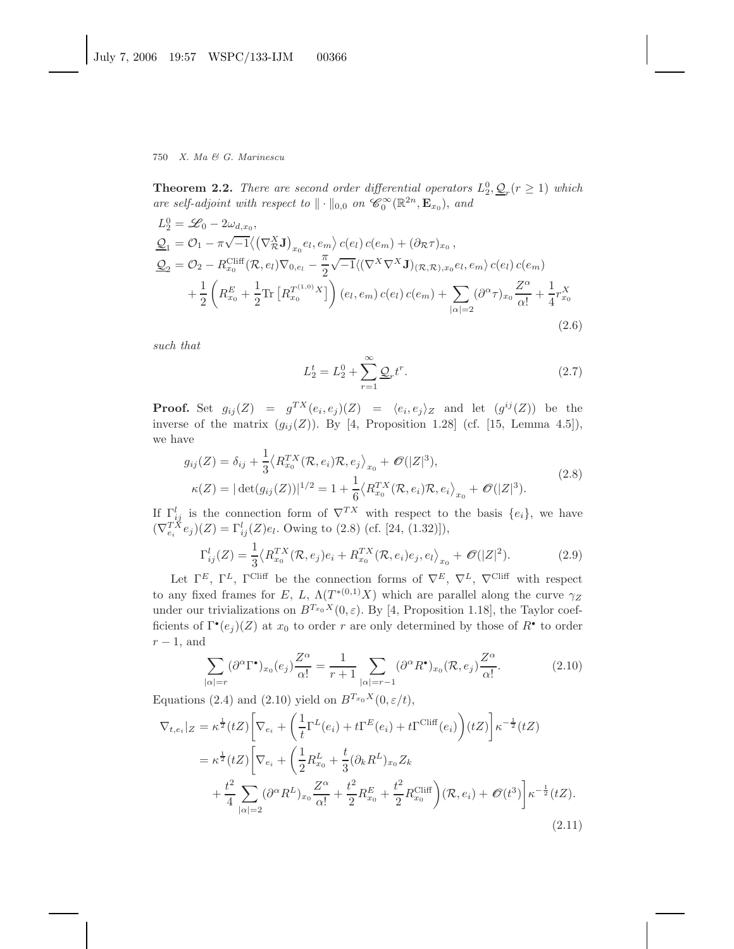**Theorem 2.2.** *There are second order differential operators*  $L_2^0$ ,  $Q_r$  ( $r \ge 1$ ) *which are self-adjoint with respect to*  $\|\cdot\|_{0,0}$  *on*  $\mathscr{C}_0^{\infty}(\mathbb{R}^{2n}, \mathbf{E}_{x_0})$ , *and* 

$$
L_2^0 = \mathcal{L}_0 - 2\omega_{d,x_0},
$$
  
\n
$$
\underline{Q}_1 = \mathcal{O}_1 - \pi \sqrt{-1} \langle (\nabla_{\mathcal{R}}^X \mathbf{J})_{x_0} e_l, e_m \rangle c(e_l) c(e_m) + (\partial_{\mathcal{R}} \tau)_{x_0},
$$
  
\n
$$
\underline{Q}_2 = \mathcal{O}_2 - R_{x_0}^{\text{Cliff}}(\mathcal{R}, e_l) \nabla_{0, e_l} - \frac{\pi}{2} \sqrt{-1} \langle (\nabla^X \nabla^X \mathbf{J})_{(\mathcal{R}, \mathcal{R}), x_0} e_l, e_m \rangle c(e_l) c(e_m)
$$
  
\n
$$
+ \frac{1}{2} \left( R_{x_0}^E + \frac{1}{2} \text{Tr} \left[ R_{x_0}^{T^{(1,0)}} X \right] \right) (e_l, e_m) c(e_l) c(e_m) + \sum_{|\alpha| = 2} (\partial^{\alpha} \tau)_{x_0} \frac{Z^{\alpha}}{\alpha!} + \frac{1}{4} r_{x_0}^{X}
$$
\n(2.6)

*such that*

$$
L_2^t = L_2^0 + \sum_{r=1}^{\infty} \underline{\mathcal{Q}}_r t^r.
$$
 (2.7)

**Proof.** Set  $g_{ij}(Z) = g^{TX}(e_i, e_j)(Z) = \langle e_i, e_j \rangle_Z$  and let  $(g^{ij}(Z))$  be the inverse of the matrix  $(g_{ij}(Z))$ . By [4, Proposition 1.28] (cf. [15, Lemma 4.5]), we have

$$
g_{ij}(Z) = \delta_{ij} + \frac{1}{3} \langle R_{x_0}^{TX}(\mathcal{R}, e_i) \mathcal{R}, e_j \rangle_{x_0} + \mathcal{O}(|Z|^3),
$$
  

$$
\kappa(Z) = |\det(g_{ij}(Z))|^{1/2} = 1 + \frac{1}{6} \langle R_{x_0}^{TX}(\mathcal{R}, e_i) \mathcal{R}, e_i \rangle_{x_0} + \mathcal{O}(|Z|^3).
$$
 (2.8)

If  $\Gamma_{ij}^l$  is the connection form of  $\nabla^{TX}$  with respect to the basis  $\{e_i\}$ , we have  $(\nabla_{e_i}^{T\check{X}} e_j)(Z) = \Gamma_{ij}^l(Z)e_l$ . Owing to (2.8) (cf. [24, (1.32)]),

$$
\Gamma_{ij}^l(Z) = \frac{1}{3} \langle R_{x_0}^{TX}(\mathcal{R}, e_j)e_i + R_{x_0}^{TX}(\mathcal{R}, e_i)e_j, e_l \rangle_{x_0} + \mathcal{O}(|Z|^2).
$$
 (2.9)

Let  $\Gamma^E$ ,  $\Gamma^L$ ,  $\Gamma^{\text{Cliff}}$  be the connection forms of  $\nabla^E$ ,  $\nabla^L$ ,  $\nabla^{\text{Cliff}}$  with respect to any fixed frames for E, L,  $\Lambda(T^{*(0,1)}X)$  which are parallel along the curve  $\gamma_Z$ under our trivializations on  $B^{T_{x_0}X}(0,\varepsilon)$ . By [4, Proposition 1.18], the Taylor coefficients of  $\Gamma^{\bullet}(e_i)(Z)$  at  $x_0$  to order r are only determined by those of  $R^{\bullet}$  to order  $r-1$ , and

$$
\sum_{|\alpha|=r} (\partial^{\alpha} \Gamma^{\bullet})_{x_0}(e_j) \frac{Z^{\alpha}}{\alpha!} = \frac{1}{r+1} \sum_{|\alpha|=r-1} (\partial^{\alpha} R^{\bullet})_{x_0}(\mathcal{R}, e_j) \frac{Z^{\alpha}}{\alpha!}.
$$
 (2.10)

Equations (2.4) and (2.10) yield on  $B^{T_{x_0}X}(0, \varepsilon/t)$ ,

$$
\nabla_{t,e_i}|_{Z} = \kappa^{\frac{1}{2}}(tZ) \left[ \nabla_{e_i} + \left( \frac{1}{t} \Gamma^L(e_i) + t \Gamma^E(e_i) + t \Gamma^{\text{Cliff}}(e_i) \right) (tZ) \right] \kappa^{-\frac{1}{2}}(tZ)
$$
  
\n
$$
= \kappa^{\frac{1}{2}}(tZ) \left[ \nabla_{e_i} + \left( \frac{1}{2} R_{x_0}^L + \frac{t}{3} (\partial_k R^L)_{x_0} Z_k \right. \right.
$$
  
\n
$$
+ \frac{t^2}{4} \sum_{|\alpha|=2} (\partial^{\alpha} R^L)_{x_0} \frac{Z^{\alpha}}{\alpha!} + \frac{t^2}{2} R_{x_0}^E + \frac{t^2}{2} R_{x_0}^{\text{Cliff}} \left( (\mathcal{R}, e_i) + \mathcal{O}(t^3) \right) \kappa^{-\frac{1}{2}}(tZ).
$$
  
\n(2.11)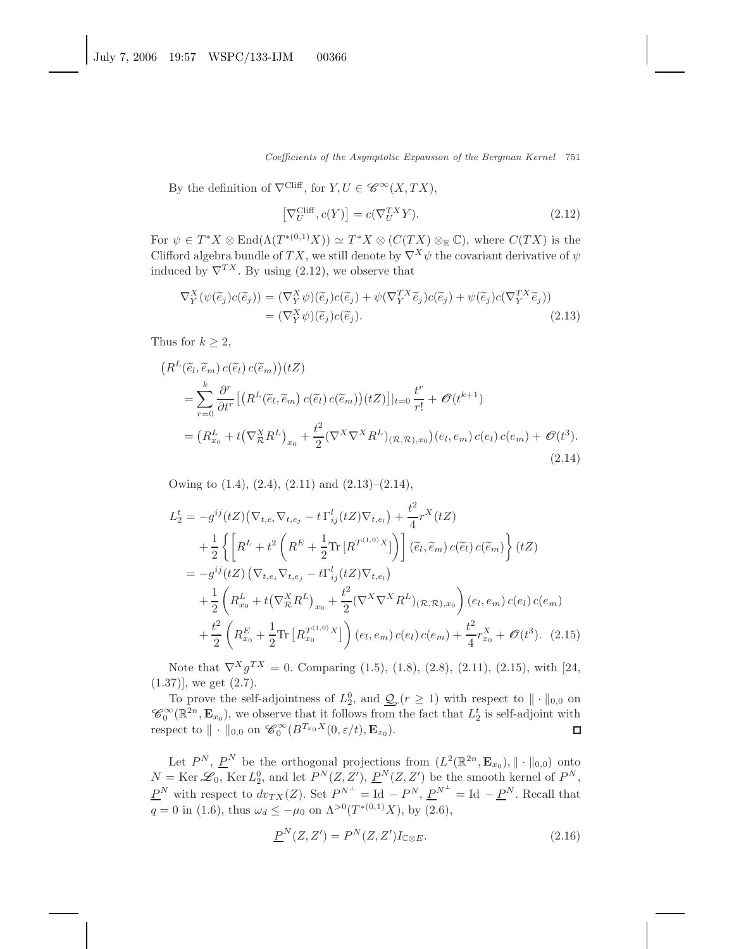Coefficients of the Asymptotic Expansion of the Bergman Kernel 751

By the definition of  $\nabla^{\text{Cliff}}$ , for  $Y, U \in \mathscr{C}^{\infty}(X, TX)$ ,

$$
\left[\nabla_U^{\text{Cliff}}, c(Y)\right] = c(\nabla_U^{TX} Y). \tag{2.12}
$$

For  $\psi \in T^*X \otimes \text{End}(\Lambda(T^{*(0,1)}X)) \simeq T^*X \otimes (C(TX) \otimes_{\mathbb{R}} \mathbb{C})$ , where  $C(TX)$  is the Clifford algebra bundle of TX, we still denote by  $\nabla^X \psi$  the covariant derivative of  $\psi$ induced by  $\nabla^{TX}$ . By using (2.12), we observe that

$$
\nabla_Y^X(\psi(\tilde{e}_j)c(\tilde{e}_j)) = (\nabla_Y^X \psi)(\tilde{e}_j)c(\tilde{e}_j) + \psi(\nabla_Y^{TX}\tilde{e}_j)c(\tilde{e}_j) + \psi(\tilde{e}_j)c(\nabla_Y^{TX}\tilde{e}_j))
$$
  
= (\nabla\_Y^X \psi)(\tilde{e}\_j)c(\tilde{e}\_j). (2.13)

Thus for  $k \geq 2$ ,

$$
(R^{L}(\tilde{e}_{l}, \tilde{e}_{m}) c(\tilde{e}_{l}) c(\tilde{e}_{m}))(tZ)
$$
  
= 
$$
\sum_{r=0}^{k} \frac{\partial^{r}}{\partial t^{r}} \left[ \left( R^{L}(\tilde{e}_{l}, \tilde{e}_{m}) c(\tilde{e}_{l}) c(\tilde{e}_{m}) \right) (tZ) \right] |_{t=0} \frac{t^{r}}{r!} + \mathcal{O}(t^{k+1})
$$
  
= 
$$
\left( R_{x_{0}}^{L} + t \left( \nabla_{\mathcal{R}}^{X} R^{L} \right)_{x_{0}} + \frac{t^{2}}{2} (\nabla^{X} \nabla^{X} R^{L})_{(\mathcal{R}, \mathcal{R}), x_{0}} (e_{l}, e_{m}) c(e_{l}) c(e_{m}) + \mathcal{O}(t^{3}). \tag{2.14}
$$

Owing to  $(1.4)$ ,  $(2.4)$ ,  $(2.11)$  and  $(2.13)$ – $(2.14)$ ,

$$
L_{2}^{t} = -g^{ij}(tZ)\left(\nabla_{t,e_{i}}\nabla_{t,e_{j}} - t\Gamma_{ij}^{l}(tZ)\nabla_{t,e_{l}}\right) + \frac{t^{2}}{4}r^{X}(tZ)
$$
  
+ 
$$
\frac{1}{2}\left\{\left[R^{L} + t^{2}\left(R^{E} + \frac{1}{2}\text{Tr}\left[R^{T^{(1,0)}}X\right]\right)\right](\tilde{e}_{l},\tilde{e}_{m})c(\tilde{e}_{l})c(\tilde{e}_{m})\right\}(tZ)
$$
  
= 
$$
-g^{ij}(tZ)\left(\nabla_{t,e_{i}}\nabla_{t,e_{j}} - t\Gamma_{ij}^{l}(tZ)\nabla_{t,e_{l}}\right)
$$
  
+ 
$$
\frac{1}{2}\left(R_{x_{0}}^{L} + t\left(\nabla_{\mathcal{R}}^{X}R^{L}\right)_{x_{0}} + \frac{t^{2}}{2}(\nabla^{X}\nabla^{X}R^{L})(\mathcal{R},\mathcal{R})_{x_{0}}\right)(e_{l},e_{m})c(e_{l})c(e_{m})
$$
  
+ 
$$
\frac{t^{2}}{2}\left(R_{x_{0}}^{E} + \frac{1}{2}\text{Tr}\left[R_{x_{0}}^{T^{(1,0)}}X\right]\right)(e_{l},e_{m})c(e_{l})c(e_{m}) + \frac{t^{2}}{4}r_{x_{0}}^{X} + \mathcal{O}(t^{3}).
$$
 (2.15)

Note that  $\nabla^X g^{TX} = 0$ . Comparing (1.5), (1.8), (2.8), (2.11), (2.15), with [24,  $(1.37)$ , we get  $(2.7)$ .

To prove the self-adjointness of  $L_2^0$ , and  $\underline{\mathcal{Q}}_r(r \geq 1)$  with respect to  $\|\cdot\|_{0,0}$  on  $\mathscr{C}_0^{\infty}(\mathbb{R}^{2n}, \mathbf{E}_{x_0})$ , we observe that it follows from the fact that  $L_2^t$  is self-adjoint with respect to  $\| \cdot \|_{0,0}$  on  $\mathscr{C}_0^{\infty}(B^{T_{x_0}X}(0,\varepsilon/t), \mathbf{E}_{x_0}).$  $\Box$ 

Let  $P^N$ ,  $\underline{P}^N$  be the orthogonal projections from  $(L^2(\mathbb{R}^{2n}, \mathbf{E}_{x_0}), || \cdot ||_{0,0})$  onto  $N = \text{Ker } \mathscr{L}_0$ ,  $\text{Ker } L_2^0$ , and let  $P^N(Z, Z')$ ,  $P^N(Z, Z')$  be the smooth kernel of  $P^N$ ,  $\underline{P}^N$  with respect to  $dv_{TX}(Z)$ . Set  $\underline{P}^{N^{\perp}} = \text{Id} - \underline{P}^N$ ,  $\underline{P}^{N^{\perp}} = \text{Id} - \underline{P}^N$ . Recall that  $q = 0$  in (1.6), thus  $\omega_d \leq -\mu_0$  on  $\Lambda^{>0}(T^{*(0,1)}X)$ , by (2.6),

$$
\underline{P}^N(Z, Z') = P^N(Z, Z') I_{\mathbb{C} \otimes E}.\tag{2.16}
$$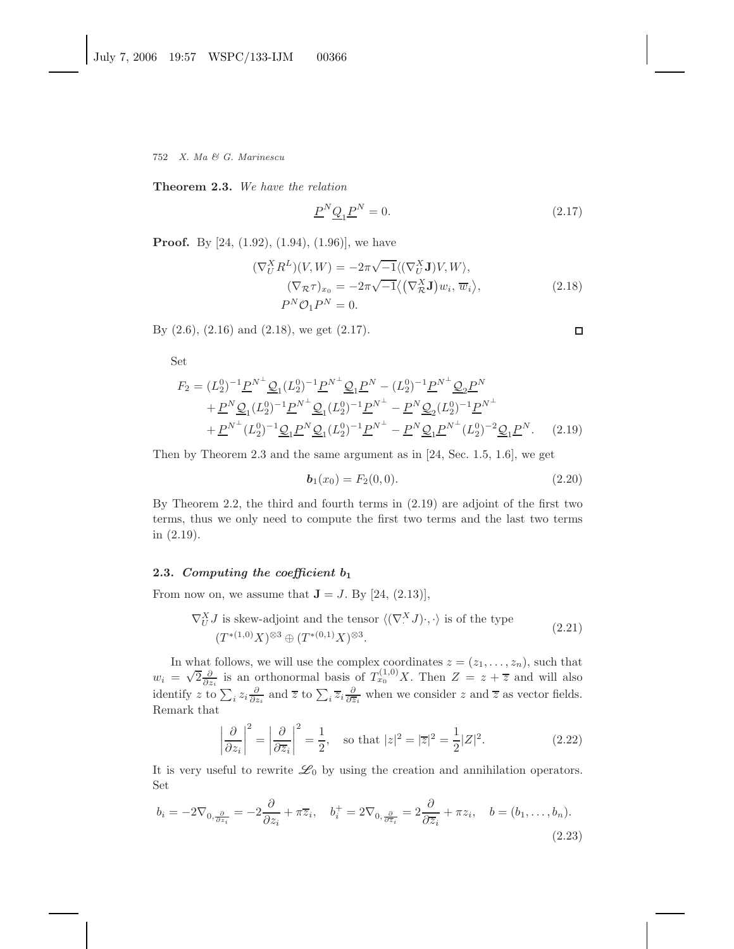**Theorem 2.3.** *We have the relation*

$$
\underline{P}^N \underline{Q}_1 \underline{P}^N = 0. \tag{2.17}
$$

**Proof.** By [24, (1.92), (1.94), (1.96)], we have

$$
(\nabla_U^X R^L)(V, W) = -2\pi \sqrt{-1} \langle (\nabla_U^X \mathbf{J})V, W \rangle,
$$
  
\n
$$
(\nabla_{\mathcal{R}} \tau)_{x_0} = -2\pi \sqrt{-1} \langle (\nabla_{\mathcal{R}}^X \mathbf{J}) w_i, \overline{w}_i \rangle,
$$
  
\n
$$
P^N \mathcal{O}_1 P^N = 0.
$$
\n(2.18)

By (2.6), (2.16) and (2.18), we get (2.17).

Set

$$
F_2 = (L_2^0)^{-1} \underline{P}^{N^{\perp}} \underline{Q}_1 (L_2^0)^{-1} \underline{P}^{N^{\perp}} \underline{Q}_1 \underline{P}^N - (L_2^0)^{-1} \underline{P}^{N^{\perp}} \underline{Q}_2 \underline{P}^N
$$
  
+  $\underline{P}^N \underline{Q}_1 (L_2^0)^{-1} \underline{P}^{N^{\perp}} \underline{Q}_1 (L_2^0)^{-1} \underline{P}^{N^{\perp}} - \underline{P}^N \underline{Q}_2 (L_2^0)^{-1} \underline{P}^{N^{\perp}}$   
+  $\underline{P}^{N^{\perp}} (L_2^0)^{-1} \underline{Q}_1 \underline{P}^N \underline{Q}_1 (L_2^0)^{-1} \underline{P}^{N^{\perp}} - \underline{P}^N \underline{Q}_1 \underline{P}^{N^{\perp}} (L_2^0)^{-2} \underline{Q}_1 \underline{P}^N.$  (2.19)

Then by Theorem 2.3 and the same argument as in [24, Sec. 1.5, 1.6], we get

$$
\mathbf{b}_1(x_0) = F_2(0,0). \tag{2.20}
$$

By Theorem 2.2, the third and fourth terms in (2.19) are adjoint of the first two terms, thus we only need to compute the first two terms and the last two terms in (2.19).

## **2.3.** *Computing the coefficient b***<sup>1</sup>**

From now on, we assume that  $J = J$ . By [24, (2.13)],

$$
\nabla_U^X J \text{ is skew-adjoint and the tensor } \langle (\nabla^X J) \cdot, \cdot \rangle \text{ is of the type}
$$
  

$$
(T^{*(1,0)} X)^{\otimes 3} \oplus (T^{*(0,1)} X)^{\otimes 3}.
$$
 (2.21)

In what follows, we will use the complex coordinates  $z = (z_1, \ldots, z_n)$ , such that  $w_i = \sqrt{2} \frac{\partial}{\partial z_i}$  is an orthonormal basis of  $T_{x_0}^{(1,0)}X$ . Then  $Z = z + \overline{z}$  and will also identify z to  $\sum_i z_i \frac{\partial}{\partial z_i}$  and  $\overline{z}$  to  $\sum_i \overline{z}_i \frac{\partial}{\partial \overline{z}_i}$  when we consider z and  $\overline{z}$  as vector fields. Remark that

$$
\left|\frac{\partial}{\partial z_i}\right|^2 = \left|\frac{\partial}{\partial \overline{z}_i}\right|^2 = \frac{1}{2}, \quad \text{so that } |z|^2 = |\overline{z}|^2 = \frac{1}{2}|Z|^2. \tag{2.22}
$$

It is very useful to rewrite  $\mathscr{L}_0$  by using the creation and annihilation operators. Set

$$
b_i = -2\nabla_{0, \frac{\partial}{\partial z_i}} = -2\frac{\partial}{\partial z_i} + \pi \overline{z}_i, \quad b_i^+ = 2\nabla_{0, \frac{\partial}{\partial \overline{z}_i}} = 2\frac{\partial}{\partial \overline{z}_i} + \pi z_i, \quad b = (b_1, \dots, b_n).
$$
\n(2.23)

$$
\Box
$$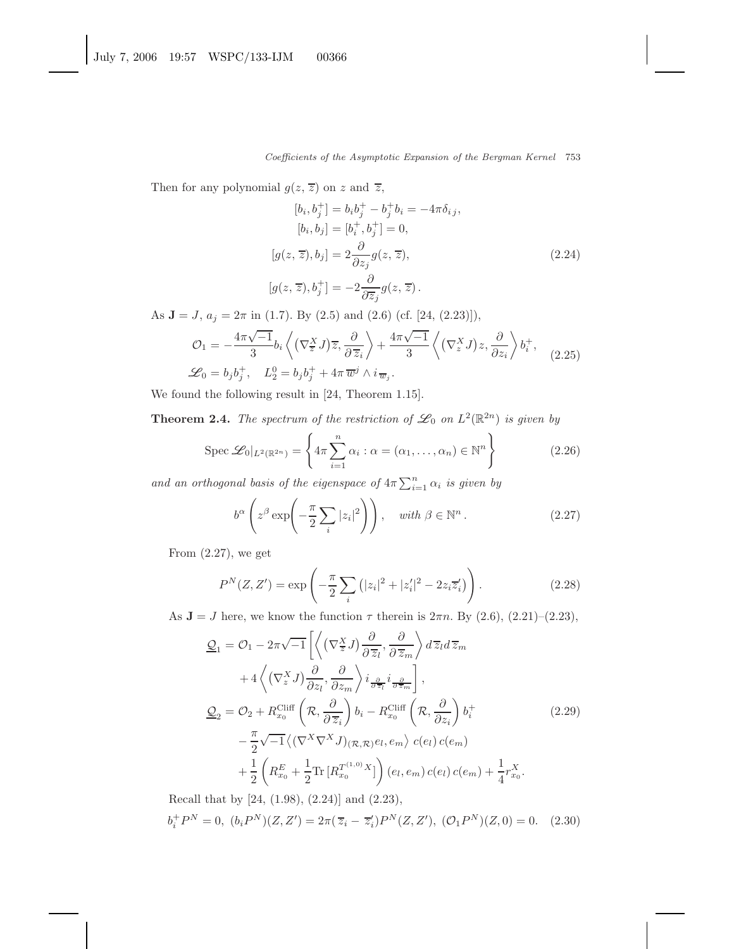Then for any polynomial  $g(z, \overline{z})$  on z and  $\overline{z}$ ,

$$
[b_i, b_j^+] = b_i b_j^+ - b_j^+ b_i = -4\pi \delta_{ij},
$$
  
\n
$$
[b_i, b_j] = [b_i^+, b_j^+] = 0,
$$
  
\n
$$
[g(z, \overline{z}), b_j] = 2 \frac{\partial}{\partial z_j} g(z, \overline{z}),
$$
  
\n
$$
[g(z, \overline{z}), b_j^+] = -2 \frac{\partial}{\partial \overline{z_j}} g(z, \overline{z}).
$$
\n(2.24)

As  $J = J$ ,  $a_j = 2\pi$  in (1.7). By (2.5) and (2.6) (cf. [24, (2.23)]),

$$
\mathcal{O}_1 = -\frac{4\pi\sqrt{-1}}{3} b_i \left\langle \left(\nabla_{\overline{z}}^X J\right) \overline{z}, \frac{\partial}{\partial \overline{z}_i} \right\rangle + \frac{4\pi\sqrt{-1}}{3} \left\langle \left(\nabla_z^X J\right) z, \frac{\partial}{\partial z_i} \right\rangle b_i^+,
$$
\n
$$
\mathcal{L}_0 = b_j b_j^+, \quad L_2^0 = b_j b_j^+ + 4\pi \overline{w}^j \wedge i_{\overline{w}_j}.
$$
\n(2.25)

We found the following result in [24, Theorem 1.15].

**Theorem 2.4.** *The spectrum of the restriction of*  $\mathscr{L}_0$  *on*  $L^2(\mathbb{R}^{2n})$  *is given by* 

$$
\operatorname{Spec} \mathcal{L}_0|_{L^2(\mathbb{R}^{2n})} = \left\{ 4\pi \sum_{i=1}^n \alpha_i : \alpha = (\alpha_1, \dots, \alpha_n) \in \mathbb{N}^n \right\}
$$
 (2.26)

and an orthogonal basis of the eigenspace of  $4\pi \sum_{i=1}^n \alpha_i$  *is given by* 

$$
b^{\alpha} \left( z^{\beta} \exp \left( -\frac{\pi}{2} \sum_{i} |z_{i}|^{2} \right) \right), \quad \text{with } \beta \in \mathbb{N}^{n} \,.
$$
 (2.27)

From  $(2.27)$ , we get

$$
P^{N}(Z, Z') = \exp\left(-\frac{\pi}{2} \sum_{i} (|z_{i}|^{2} + |z'_{i}|^{2} - 2z_{i}\overline{z'_{i}})\right).
$$
 (2.28)

As  $J = J$  here, we know the function  $\tau$  therein is  $2\pi n$ . By  $(2.6)$ ,  $(2.21)$ – $(2.23)$ ,

$$
\underline{\mathcal{Q}}_{1} = \mathcal{O}_{1} - 2\pi\sqrt{-1} \left[ \left\langle \left( \nabla_{\overline{z}}^{X} J \right) \frac{\partial}{\partial \overline{z}_{l}}, \frac{\partial}{\partial \overline{z}_{m}} \right\rangle d\overline{z}_{l} d\overline{z}_{m} \right. \n+ 4 \left\langle \left( \nabla_{z}^{X} J \right) \frac{\partial}{\partial z_{l}}, \frac{\partial}{\partial z_{m}} \right\rangle i_{\frac{\partial}{\partial \overline{z}_{l}}} i_{\frac{\partial}{\partial \overline{z}_{m}}} \right], \n\underline{\mathcal{Q}}_{2} = \mathcal{O}_{2} + R_{x_{0}}^{\text{Cliff}} \left( \mathcal{R}, \frac{\partial}{\partial \overline{z}_{i}} \right) b_{i} - R_{x_{0}}^{\text{Cliff}} \left( \mathcal{R}, \frac{\partial}{\partial z_{i}} \right) b_{i}^{+} \n- \frac{\pi}{2} \sqrt{-1} \left\langle \left( \nabla^{X} \nabla^{X} J \right)_{(\mathcal{R}, \mathcal{R})} e_{l}, e_{m} \right\rangle c(e_{l}) c(e_{m}) \n+ \frac{1}{2} \left( R_{x_{0}}^{E} + \frac{1}{2} \text{Tr} \left[ R_{x_{0}}^{T^{(1,0)}} X \right] \right) (e_{l}, e_{m}) c(e_{l}) c(e_{m}) + \frac{1}{4} r_{x_{0}}^{X}.
$$
\n(2.29)

Recall that by [24, (1.98), (2.24)] and (2.23),  $b_i^+ P^N = 0$ ,  $(b_i P^N)(Z, Z') = 2\pi (\overline{z}_i - \overline{z}'_i) P^N(Z, Z'),$   $(\mathcal{O}_1 P^N)(Z, 0) = 0.$  (2.30)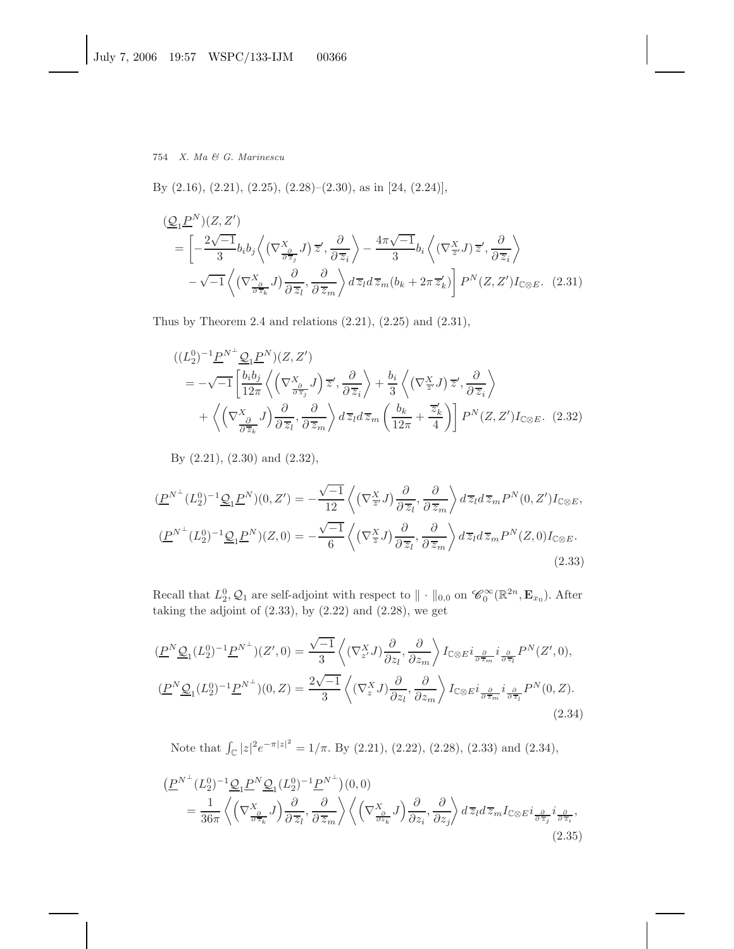By (2.16), (2.21), (2.25), (2.28)–(2.30), as in [24, (2.24)],

$$
\begin{split}\n& \frac{(\mathcal{Q}_1 P^N)(Z, Z')}{\mathcal{Z}^N} \\
&= \left[ -\frac{2\sqrt{-1}}{3} b_i b_j \left\langle \left( \nabla^X_{\frac{\partial}{\partial \overline{z}_j}} J \right) \overline{z}', \frac{\partial}{\partial \overline{z}_i} \right\rangle - \frac{4\pi\sqrt{-1}}{3} b_i \left\langle \left( \nabla^X_{\overline{z}'} J \right) \overline{z}', \frac{\partial}{\partial \overline{z}_i} \right\rangle \right. \\
& \left. -\sqrt{-1} \left\langle \left( \nabla^X_{\frac{\partial}{\partial \overline{z}_k}} J \right) \frac{\partial}{\partial \overline{z}_l}, \frac{\partial}{\partial \overline{z}_m} \right\rangle d\overline{z}_l d\overline{z}_m (b_k + 2\pi \overline{z}'_k) \right] P^N(Z, Z') I_{\mathbb{C} \otimes E}.\n\end{split}
$$
\n(2.31)

Thus by Theorem 2.4 and relations  $(2.21)$ ,  $(2.25)$  and  $(2.31)$ ,

$$
\begin{split}\n&((L_{2}^{0})^{-1}\underline{P}^{N^{\perp}}\underline{\mathcal{Q}}_{1}\underline{P}^{N})(Z,Z') \\
&= -\sqrt{-1}\left[\frac{b_{i}b_{j}}{12\pi}\left\langle\left(\nabla_{\frac{\partial}{\partial \overline{z}_{j}}}^{X}J\right)\overline{z}',\frac{\partial}{\partial \overline{z}_{i}}\right\rangle + \frac{b_{i}}{3}\left\langle\left(\nabla_{\overline{z}'}^{X}J\right)\overline{z}',\frac{\partial}{\partial \overline{z}_{i}}\right\rangle \\
&+ \left\langle\left(\nabla_{\frac{\partial}{\partial \overline{z}_{k}}}^{X}J\right)\frac{\partial}{\partial \overline{z}_{l}},\frac{\partial}{\partial \overline{z}_{m}}\right\rangle d\overline{z}_{l}d\overline{z}_{m}\left(\frac{b_{k}}{12\pi} + \frac{\overline{z}'_{k}}{4}\right)\right]P^{N}(Z,Z')I_{\mathbb{C}\otimes E}.\n\end{split} \tag{2.32}
$$

By (2.21), (2.30) and (2.32),

$$
(\underline{P}^{N^{\perp}}(L_2^0)^{-1}\underline{\mathcal{Q}}_1\underline{P}^N)(0,Z') = -\frac{\sqrt{-1}}{12}\left\langle (\nabla_{\overline{z}}^X J) \frac{\partial}{\partial \overline{z}_l}, \frac{\partial}{\partial \overline{z}_m} \right\rangle d\overline{z}_l d\overline{z}_m P^N(0,Z')I_{\mathbb{C}\otimes E},
$$
  

$$
(\underline{P}^{N^{\perp}}(L_2^0)^{-1}\underline{\mathcal{Q}}_1\underline{P}^N)(Z,0) = -\frac{\sqrt{-1}}{6}\left\langle (\nabla_{\overline{z}}^X J) \frac{\partial}{\partial \overline{z}_l}, \frac{\partial}{\partial \overline{z}_m} \right\rangle d\overline{z}_l d\overline{z}_m P^N(Z,0)I_{\mathbb{C}\otimes E}.
$$
\n(2.33)

Recall that  $L_2^0$ ,  $\mathcal{Q}_1$  are self-adjoint with respect to  $\|\cdot\|_{0,0}$  on  $\mathscr{C}_0^{\infty}(\mathbb{R}^{2n}, \mathbf{E}_{x_0})$ . After taking the adjoint of  $(2.33)$ , by  $(2.22)$  and  $(2.28)$ , we get

$$
\underbrace{(P^N \mathcal{Q}_1(L_2^0)^{-1} P^{N^{\perp}})(Z',0)}_{\mathcal{L}^N \mathcal{Q}_1(L_2^0)^{-1} P^{N^{\perp}}}(Z',0) = \frac{\sqrt{-1}}{3} \left\langle (\nabla_{z'}^X J) \frac{\partial}{\partial z_l}, \frac{\partial}{\partial z_m} \right\rangle I_{\mathbb{C} \otimes E} i_{\frac{\partial}{\partial \overline{z}_m}} i_{\frac{\partial}{\partial \overline{z}_l}} P^N(Z',0),
$$
\n
$$
\underbrace{(P^N \mathcal{Q}_1(L_2^0)^{-1} P^{N^{\perp}})(0,Z)}_{\mathcal{L}^N \mathcal{Q}_2(L_2^0)} = \frac{2\sqrt{-1}}{3} \left\langle (\nabla_z^X J) \frac{\partial}{\partial z_l}, \frac{\partial}{\partial z_m} \right\rangle I_{\mathbb{C} \otimes E} i_{\frac{\partial}{\partial \overline{z}_m}} i_{\frac{\partial}{\partial \overline{z}_l}} P^N(0,Z).
$$
\n(2.34)

Note that  $\int_{\mathbb{C}} |z|^2 e^{-\pi |z|^2} = 1/\pi$ . By (2.21), (2.22), (2.28), (2.33) and (2.34),

$$
\begin{split}\n\left(\underline{P}^{N^{\perp}}(L_{2}^{0})^{-1}\underline{\mathcal{Q}}_{1}\underline{P}^{N}\underline{\mathcal{Q}}_{1}(L_{2}^{0})^{-1}\underline{P}^{N^{\perp}}\right)(0,0) \\
&=\frac{1}{36\pi}\left\langle \left(\nabla_{\frac{\partial}{\partial\overline{z}_{k}}}^{X}J\right)\frac{\partial}{\partial\overline{z}_{l}},\frac{\partial}{\partial\overline{z}_{m}}\right\rangle \left\langle \left(\nabla_{\frac{\partial}{\partial z_{k}}}^{X}J\right)\frac{\partial}{\partial z_{i}},\frac{\partial}{\partial z_{j}}\right\rangle d\overline{z}_{l}d\overline{z}_{m}I_{\mathbb{C}\otimes E}i_{\frac{\partial}{\partial\overline{z}_{j}}}i_{\frac{\partial}{\partial\overline{z}_{i}}},\n\end{split} \tag{2.35}
$$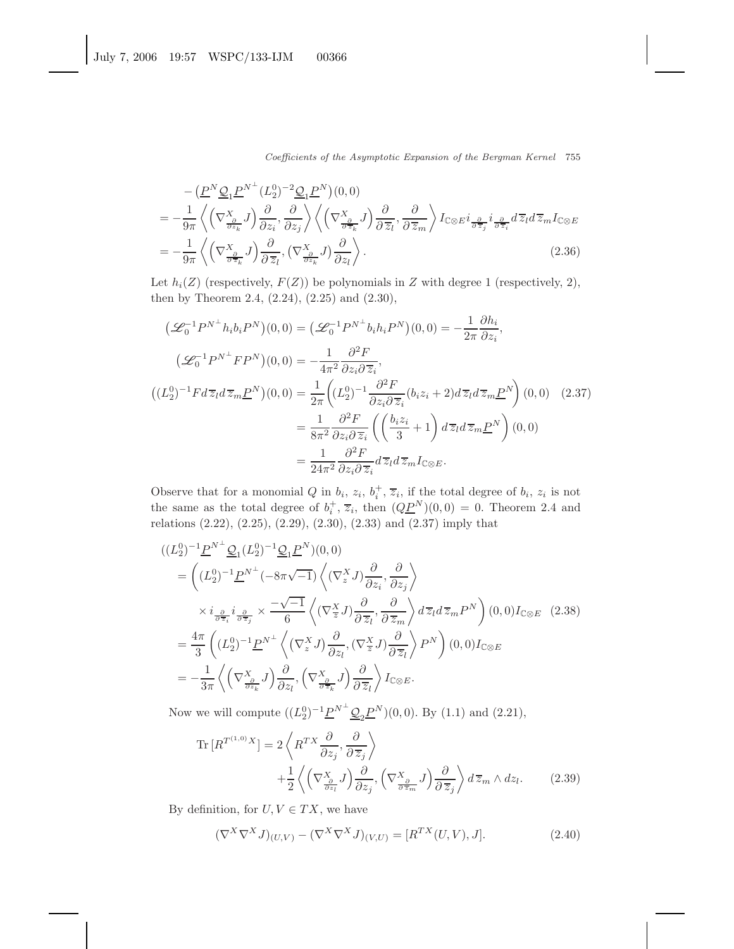Coefficients of the Asymptotic Expansion of the Bergman Kernel 755

$$
- \left( \underline{P}^{N} \underline{Q}_{1} \underline{P}^{N^{\perp}} (L_{2}^{0})^{-2} \underline{Q}_{1} \underline{P}^{N}) (0, 0) \right)
$$
  
\n
$$
= -\frac{1}{9\pi} \left\langle \left( \nabla^{X}_{\frac{\partial}{\partial z_{k}}} J \right) \frac{\partial}{\partial z_{i}}, \frac{\partial}{\partial z_{j}} \right\rangle \left\langle \left( \nabla^{X}_{\frac{\partial}{\partial z_{k}}} J \right) \frac{\partial}{\partial \overline{z_{l}}}, \frac{\partial}{\partial \overline{z_{m}}} \right\rangle I_{\mathbb{C} \otimes E} i_{\frac{\partial}{\partial \overline{z}_{j}}} i_{\frac{\partial}{\partial \overline{z}_{l}}} d\overline{z_{l}} d\overline{z_{m}} I_{\mathbb{C} \otimes E}
$$
  
\n
$$
= -\frac{1}{9\pi} \left\langle \left( \nabla^{X}_{\frac{\partial}{\partial z_{k}}} J \right) \frac{\partial}{\partial \overline{z_{l}}}, \left( \nabla^{X}_{\frac{\partial}{\partial z_{k}}} J \right) \frac{\partial}{\partial z_{l}} \right\rangle .
$$
\n(2.36)

Let  $h_i(Z)$  (respectively,  $F(Z)$ ) be polynomials in Z with degree 1 (respectively, 2), then by Theorem 2.4, (2.24), (2.25) and (2.30),

$$
\begin{split}\n\left(\mathcal{L}_{0}^{-1}P^{N^{\perp}}h_{i}b_{i}P^{N}\right)(0,0) &= \left(\mathcal{L}_{0}^{-1}P^{N^{\perp}}b_{i}h_{i}P^{N}\right)(0,0) = -\frac{1}{2\pi}\frac{\partial h_{i}}{\partial z_{i}}, \\
\left(\mathcal{L}_{0}^{-1}P^{N^{\perp}}FP^{N}\right)(0,0) &= -\frac{1}{4\pi^{2}}\frac{\partial^{2}F}{\partial z_{i}\partial\overline{z}_{i}}, \\
\left((L_{2}^{0})^{-1}Fd\,\overline{z}_{l}d\,\overline{z}_{m}\underline{P}^{N}\right)(0,0) &= \frac{1}{2\pi}\left((L_{2}^{0})^{-1}\frac{\partial^{2}F}{\partial z_{i}\partial\overline{z}_{i}}(b_{i}z_{i}+2)d\,\overline{z}_{l}d\,\overline{z}_{m}\underline{P}^{N}\right)(0,0) \\
&= \frac{1}{8\pi^{2}}\frac{\partial^{2}F}{\partial z_{i}\partial\overline{z}_{i}}\left(\left(\frac{b_{i}z_{i}}{3}+1\right)d\,\overline{z}_{l}d\,\overline{z}_{m}\underline{P}^{N}\right)(0,0) \\
&= \frac{1}{24\pi^{2}}\frac{\partial^{2}F}{\partial z_{i}\partial\overline{z}_{i}}d\overline{z}_{l}d\overline{z}_{m}I_{\mathbb{C}\otimes E}.\n\end{split}
$$

Observe that for a monomial Q in  $b_i$ ,  $z_i$ ,  $b_i^+, \overline{z}_i$ , if the total degree of  $b_i$ ,  $z_i$  is not the same as the total degree of  $b_i^+, \overline{z}_i$ , then  $(Q\underline{P}^N)(0,0) = 0$ . Theorem 2.4 and relations (2.22), (2.25), (2.29), (2.30), (2.33) and (2.37) imply that

$$
\begin{split}\n&((L_{2}^{0})^{-1}\underline{P}^{N^{\perp}}\underline{\mathcal{Q}}_{1}(L_{2}^{0})^{-1}\underline{\mathcal{Q}}_{1}\underline{P}^{N})(0,0) \\
&= \left((L_{2}^{0})^{-1}\underline{P}^{N^{\perp}}(-8\pi\sqrt{-1})\left\langle(\nabla_{z}^{X}J)\frac{\partial}{\partial z_{i}},\frac{\partial}{\partial z_{j}}\right\rangle\right. \\
&\times i_{\frac{\partial}{\partial \overline{z}_{i}}}i_{\frac{\partial}{\partial \overline{z}_{j}}}\times \frac{-\sqrt{-1}}{6}\left\langle(\nabla_{\overline{z}}^{X}J)\frac{\partial}{\partial \overline{z}_{l}},\frac{\partial}{\partial \overline{z}_{m}}\right\rangle d\overline{z}_{l}d\overline{z}_{m}P^{N}\right)(0,0)I_{\mathbb{C}\otimes E} \quad(2.38) \\
&= \frac{4\pi}{3}\left((L_{2}^{0})^{-1}\underline{P}^{N^{\perp}}\left\langle(\nabla_{z}^{X}J)\frac{\partial}{\partial z_{l}},(\nabla_{\overline{z}}^{X}J)\frac{\partial}{\partial \overline{z}_{l}}\right\rangle P^{N}\right)(0,0)I_{\mathbb{C}\otimes E} \\
&= -\frac{1}{3\pi}\left\langle(\nabla_{\overline{\partial_{z}}^{X}}^{X}J)\frac{\partial}{\partial z_{l}},(\nabla_{\overline{\partial_{\overline{z}}^{X}}^{X}J)\frac{\partial}{\partial \overline{z}_{l}}\right\rangle I_{\mathbb{C}\otimes E}.\n\end{split}
$$

Now we will compute  $((L_2^0)^{-1} \underline{P}^{N^{\perp}} \underline{Q}_2 \underline{P}^N)(0,0)$ . By (1.1) and (2.21),

Tr 
$$
[R^{T^{(1,0)}X}]
$$
 =  $2\left\langle R^{TX} \frac{\partial}{\partial z_j}, \frac{\partial}{\partial \overline{z}_j} \right\rangle$   
  $+ \frac{1}{2} \left\langle \left(\nabla \frac{X}{\partial z_l} J\right) \frac{\partial}{\partial z_j}, \left(\nabla \frac{X}{\partial \overline{z}_m} J\right) \frac{\partial}{\partial \overline{z}_j} \right\rangle d\overline{z}_m \wedge dz_l.$  (2.39)

By definition, for  $U, V \in TX$ , we have

$$
(\nabla^X \nabla^X J)_{(U,V)} - (\nabla^X \nabla^X J)_{(V,U)} = [R^{TX}(U,V), J].
$$
\n(2.40)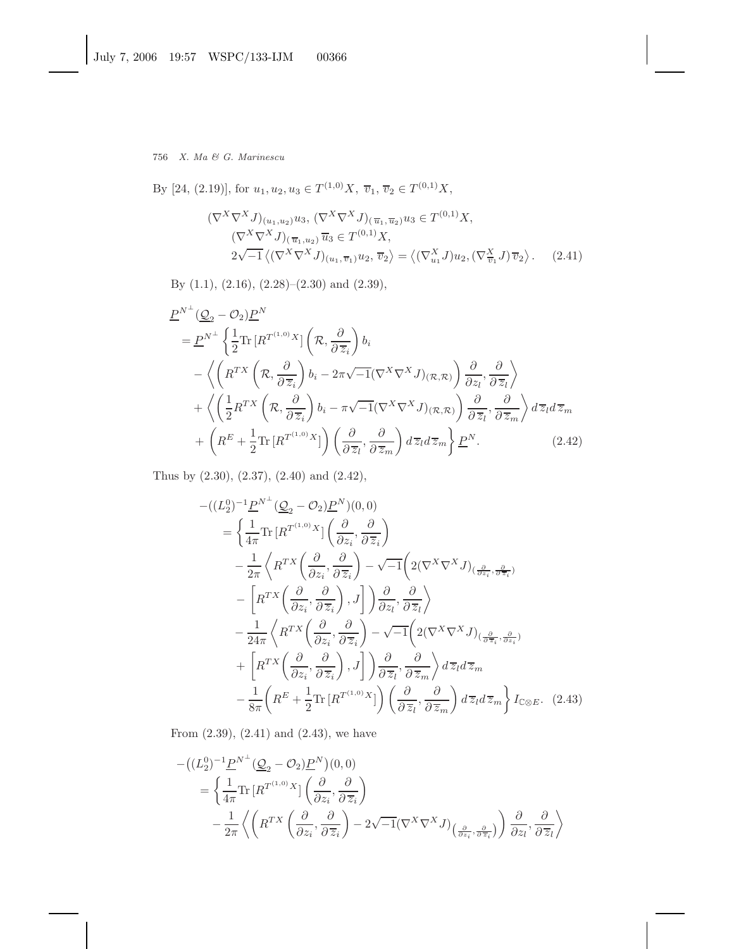By [24, (2.19)], for  $u_1, u_2, u_3 \in T^{(1,0)}X$ ,  $\overline{v}_1, \overline{v}_2 \in T^{(0,1)}X$ ,

$$
(\nabla^{X} \nabla^{X} J)_{(u_1, u_2)} u_3, \, (\nabla^{X} \nabla^{X} J)_{(\overline{u}_1, \overline{u}_2)} u_3 \in T^{(0,1)} X, \n(\nabla^{X} \nabla^{X} J)_{(\overline{u}_1, u_2)} \overline{u}_3 \in T^{(0,1)} X, \n2\sqrt{-1} \left\langle (\nabla^{X} \nabla^{X} J)_{(u_1, \overline{v}_1)} u_2, \overline{v}_2 \right\rangle = \left\langle (\nabla^{X}_{u_1} J) u_2, (\nabla^{X}_{\overline{v}_1} J) \overline{v}_2 \right\rangle. \tag{2.41}
$$

By (1.1), (2.16), (2.28)–(2.30) and (2.39),

$$
\underline{P}^{N^{\perp}}(\underline{Q}_{2}-\mathcal{O}_{2})\underline{P}^{N} \n= \underline{P}^{N^{\perp}}\left\{\frac{1}{2}\text{Tr}\left[R^{T^{(1,0)}X}\right]\left(\mathcal{R},\frac{\partial}{\partial\,\overline{z}_{i}}\right)b_{i} \right. \n- \left\langle \left(R^{TX}\left(\mathcal{R},\frac{\partial}{\partial\,\overline{z}_{i}}\right)b_{i}-2\pi\sqrt{-1}(\nabla^{X}\nabla^{X}J)_{(\mathcal{R},\mathcal{R})}\right)\frac{\partial}{\partial z_{i}},\frac{\partial}{\partial\,\overline{z}_{i}}\right\rangle \right. \n+ \left\langle \left(\frac{1}{2}R^{TX}\left(\mathcal{R},\frac{\partial}{\partial\,\overline{z}_{i}}\right)b_{i}-\pi\sqrt{-1}(\nabla^{X}\nabla^{X}J)_{(\mathcal{R},\mathcal{R})}\right)\frac{\partial}{\partial\,\overline{z}_{i}},\frac{\partial}{\partial\,\overline{z}_{m}}\right\rangle d\,\overline{z}_{l}d\,\overline{z}_{m} \n+ \left(R^{E}+\frac{1}{2}\text{Tr}\left[R^{T^{(1,0)}X}\right]\right)\left(\frac{\partial}{\partial\,\overline{z}_{i}},\frac{\partial}{\partial\,\overline{z}_{m}}\right)d\overline{z}_{l}d\overline{z}_{m}\right\}\underline{P}^{N}.
$$
\n(2.42)

Thus by (2.30), (2.37), (2.40) and (2.42),

$$
-((L_{2}^{0})^{-1} \underline{P}^{N^{\perp}} (\underline{Q}_{2} - \mathcal{O}_{2}) \underline{P}^{N})(0,0)
$$
\n
$$
= \left\{ \frac{1}{4\pi} \text{Tr} \left[ R^{T^{(1,0)}} X \right] \left( \frac{\partial}{\partial z_{i}}, \frac{\partial}{\partial \overline{z}_{i}} \right) - \frac{1}{2\pi} \left\langle R^{TX} \left( \frac{\partial}{\partial z_{i}}, \frac{\partial}{\partial \overline{z}_{i}} \right) - \sqrt{-1} \left( 2(\nabla^{X} \nabla^{X} J)_{(\frac{\partial}{\partial z_{i}}, \frac{\partial}{\partial \overline{z}_{i}})} - \left[ R^{TX} \left( \frac{\partial}{\partial z_{i}}, \frac{\partial}{\partial \overline{z}_{i}} \right), J \right] \right) \frac{\partial}{\partial z_{l}}, \frac{\partial}{\partial \overline{z}_{l}} \right\rangle - \frac{1}{24\pi} \left\langle R^{TX} \left( \frac{\partial}{\partial z_{i}}, \frac{\partial}{\partial \overline{z}_{i}} \right) - \sqrt{-1} \left( 2(\nabla^{X} \nabla^{X} J)_{(\frac{\partial}{\partial z_{i}}, \frac{\partial}{\partial z_{i}})} + \left[ R^{TX} \left( \frac{\partial}{\partial z_{i}}, \frac{\partial}{\partial \overline{z}_{i}} \right), J \right] \right) \frac{\partial}{\partial \overline{z}_{l}}, \frac{\partial}{\partial \overline{z}_{m}} \right\rangle d\overline{z}_{l} d\overline{z}_{m}
$$
\n
$$
- \frac{1}{8\pi} \left( R^{E} + \frac{1}{2} \text{Tr} \left[ R^{T^{(1,0)}} X \right] \right) \left( \frac{\partial}{\partial \overline{z}_{l}}, \frac{\partial}{\partial \overline{z}_{m}} \right) d\overline{z}_{l} d\overline{z}_{m} \right) I_{\mathbb{C} \otimes E}. (2.43)
$$

From (2.39), (2.41) and (2.43), we have

$$
-((L_2^0)^{-1} \underline{P}^{N^{\perp}} (\underline{Q}_2 - \mathcal{O}_2) \underline{P}^N)(0,0)
$$
  
=  $\left\{ \frac{1}{4\pi} \text{Tr} \left[ R^{T^{(1,0)}} X \right] \left( \frac{\partial}{\partial z_i}, \frac{\partial}{\partial \overline{z}_i} \right) - \frac{1}{2\pi} \left\langle \left( R^{TX} \left( \frac{\partial}{\partial z_i}, \frac{\partial}{\partial \overline{z}_i} \right) - 2\sqrt{-1} (\nabla^X \nabla^X J) \left( \frac{\partial}{\partial z_i}, \frac{\partial}{\partial \overline{z}_i} \right) \right) \frac{\partial}{\partial z_l}, \frac{\partial}{\partial \overline{z}_l} \right\rangle$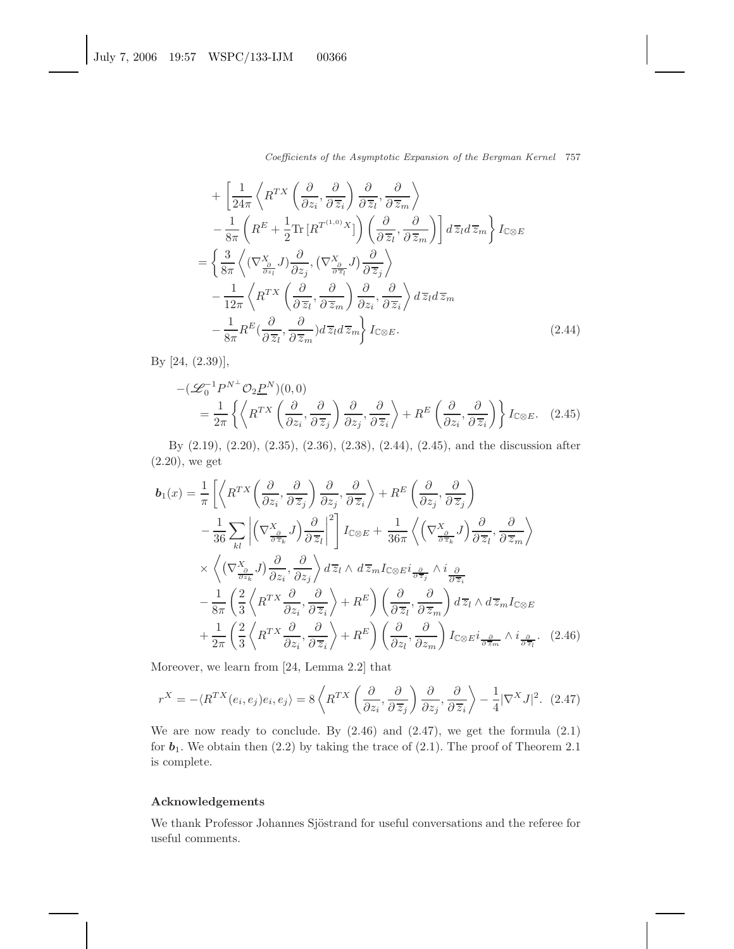Coefficients of the Asymptotic Expansion of the Bergman Kernel 757

$$
+\left[\frac{1}{24\pi}\left\langle R^{TX}\left(\frac{\partial}{\partial z_i},\frac{\partial}{\partial \overline{z}_i}\right)\frac{\partial}{\partial \overline{z}_l},\frac{\partial}{\partial \overline{z}_m}\right\rangle\right] -\frac{1}{8\pi}\left(R^{E}+\frac{1}{2}\text{Tr}\left[R^{T^{(1,0)}}X\right]\right)\left(\frac{\partial}{\partial \overline{z}_l},\frac{\partial}{\partial \overline{z}_m}\right)\right]d\overline{z}_l d\overline{z}_m}{} \left\{I_{\mathbb{C}\otimes E}\right\} =\left\{\frac{3}{8\pi}\left\langle (\nabla_{\frac{\partial}{\partial z_l}}^X J)\frac{\partial}{\partial z_j}, (\nabla_{\frac{\partial}{\partial \overline{z}_l}}^X J)\frac{\partial}{\partial \overline{z}_j}\right\rangle\right. -\frac{1}{12\pi}\left\langle R^{TX}\left(\frac{\partial}{\partial \overline{z}_l},\frac{\partial}{\partial \overline{z}_m}\right)\frac{\partial}{\partial z_i},\frac{\partial}{\partial \overline{z}_i}\right\rangle d\overline{z}_l d\overline{z}_m -\frac{1}{8\pi}R^{E}(\frac{\partial}{\partial \overline{z}_l},\frac{\partial}{\partial \overline{z}_m})d\overline{z}_l d\overline{z}_m\right\}I_{\mathbb{C}\otimes E}.
$$
\n(2.44)

By [24, (2.39)],

$$
-(\mathcal{L}_0^{-1}P^{N^{\perp}}\mathcal{O}_2\underline{P}^N)(0,0)
$$
  
=  $\frac{1}{2\pi} \left\{ \left\langle R^{TX} \left( \frac{\partial}{\partial z_i}, \frac{\partial}{\partial \overline{z}_j} \right) \frac{\partial}{\partial z_j}, \frac{\partial}{\partial \overline{z}_i} \right\rangle + R^E \left( \frac{\partial}{\partial z_i}, \frac{\partial}{\partial \overline{z}_i} \right) \right\} I_{\mathbb{C}\otimes E}.$  (2.45)

By (2.19), (2.20), (2.35), (2.36), (2.38), (2.44), (2.45), and the discussion after (2.20), we get

$$
b_{1}(x) = \frac{1}{\pi} \left[ \left\langle R^{TX} \left( \frac{\partial}{\partial z_{i}}, \frac{\partial}{\partial \overline{z}_{j}} \right) \frac{\partial}{\partial z_{j}}, \frac{\partial}{\partial \overline{z}_{i}} \right\rangle + R^{E} \left( \frac{\partial}{\partial z_{j}}, \frac{\partial}{\partial \overline{z}_{j}} \right) \right]
$$
  

$$
- \frac{1}{36} \sum_{kl} \left| \left( \nabla \frac{x_{\partial}}{\partial \overline{z}_{k}} J \right) \frac{\partial}{\partial \overline{z}_{l}} \right|^{2} \right] I_{\mathbb{C} \otimes E} + \frac{1}{36\pi} \left\langle \left( \nabla \frac{x_{\partial}}{\partial \overline{z}_{k}} J \right) \frac{\partial}{\partial \overline{z}_{l}}, \frac{\partial}{\partial \overline{z}_{m}} \right\rangle
$$
  

$$
\times \left\langle \left( \nabla \frac{x_{\partial}}{\partial z_{k}} J \right) \frac{\partial}{\partial z_{i}}, \frac{\partial}{\partial z_{j}} \right\rangle d\overline{z}_{l} \wedge d\overline{z}_{m} I_{\mathbb{C} \otimes E} i_{\frac{\partial}{\partial \overline{z}_{j}}} \wedge i_{\frac{\partial}{\partial \overline{z}_{i}}}
$$
  

$$
- \frac{1}{8\pi} \left( \frac{2}{3} \left\langle R^{TX} \frac{\partial}{\partial z_{i}}, \frac{\partial}{\partial \overline{z}_{i}} \right\rangle + R^{E} \right) \left( \frac{\partial}{\partial \overline{z}_{l}}, \frac{\partial}{\partial \overline{z}_{m}} \right) d\overline{z}_{l} \wedge d\overline{z}_{m} I_{\mathbb{C} \otimes E}
$$
  

$$
+ \frac{1}{2\pi} \left( \frac{2}{3} \left\langle R^{TX} \frac{\partial}{\partial z_{i}}, \frac{\partial}{\partial \overline{z}_{i}} \right\rangle + R^{E} \right) \left( \frac{\partial}{\partial z_{l}}, \frac{\partial}{\partial z_{m}} \right) I_{\mathbb{C} \otimes E} i_{\frac{\partial}{\partial \overline{z}_{m}}} \wedge i_{\frac{\partial}{\partial \overline{z}_{l}}} . (2.46)
$$

Moreover, we learn from [24, Lemma 2.2] that

$$
r^X = -\langle R^{TX}(e_i, e_j)e_i, e_j \rangle = 8 \left\langle R^{TX}\left(\frac{\partial}{\partial z_i}, \frac{\partial}{\partial \overline{z}_j}\right) \frac{\partial}{\partial z_j}, \frac{\partial}{\partial \overline{z}_i} \right\rangle - \frac{1}{4} |\nabla^X J|^2. \tag{2.47}
$$

We are now ready to conclude. By  $(2.46)$  and  $(2.47)$ , we get the formula  $(2.1)$ for  $b_1$ . We obtain then  $(2.2)$  by taking the trace of  $(2.1)$ . The proof of Theorem 2.1 is complete.

## **Acknowledgements**

We thank Professor Johannes Sjöstrand for useful conversations and the referee for useful comments.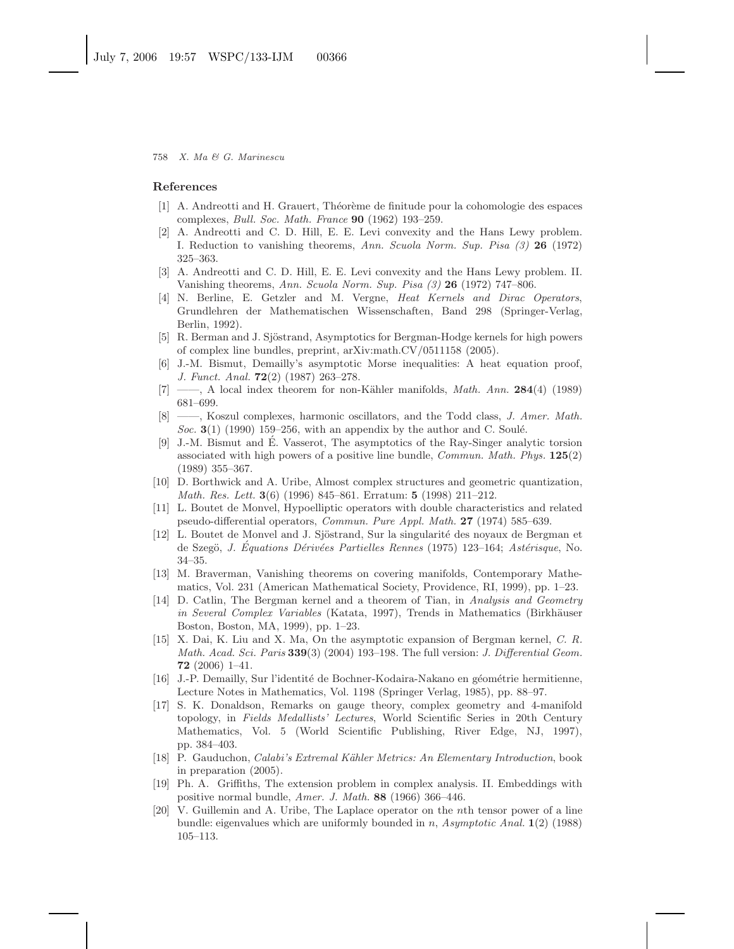#### **References**

- [1] A. Andreotti and H. Grauert, Th´eor`eme de finitude pour la cohomologie des espaces complexes, Bull. Soc. Math. France **90** (1962) 193–259.
- [2] A. Andreotti and C. D. Hill, E. E. Levi convexity and the Hans Lewy problem. I. Reduction to vanishing theorems, Ann. Scuola Norm. Sup. Pisa (3) **26** (1972) 325–363.
- [3] A. Andreotti and C. D. Hill, E. E. Levi convexity and the Hans Lewy problem. II. Vanishing theorems, Ann. Scuola Norm. Sup. Pisa (3) **26** (1972) 747–806.
- [4] N. Berline, E. Getzler and M. Vergne, Heat Kernels and Dirac Operators, Grundlehren der Mathematischen Wissenschaften, Band 298 (Springer-Verlag, Berlin, 1992).
- [5] R. Berman and J. Sjöstrand, Asymptotics for Bergman-Hodge kernels for high powers of complex line bundles, preprint, arXiv:math.CV/0511158 (2005).
- [6] J.-M. Bismut, Demailly's asymptotic Morse inequalities: A heat equation proof, J. Funct. Anal. **72**(2) (1987) 263–278.
- [7] ——, A local index theorem for non-Kähler manifolds, *Math. Ann.* **284**(4) (1989) 681–699.
- [8] ——, Koszul complexes, harmonic oscillators, and the Todd class, J. Amer. Math. Soc.  $3(1)$  (1990) 159–256, with an appendix by the author and C. Soulé.
- [9] J.-M. Bismut and E. Vasserot, The asymptotics of the Ray-Singer analytic torsion ´ associated with high powers of a positive line bundle, Commun. Math. Phys. **125**(2) (1989) 355–367.
- [10] D. Borthwick and A. Uribe, Almost complex structures and geometric quantization, Math. Res. Lett. **3**(6) (1996) 845–861. Erratum: **5** (1998) 211–212.
- [11] L. Boutet de Monvel, Hypoelliptic operators with double characteristics and related pseudo-differential operators, Commun. Pure Appl. Math. **27** (1974) 585–639.
- [12] L. Boutet de Monvel and J. Sjöstrand, Sur la singularité des noyaux de Bergman et de Szegö, J. Equations Dérivées Partielles Rennes (1975) 123–164; Astérisque, No. 34–35.
- [13] M. Braverman, Vanishing theorems on covering manifolds, Contemporary Mathematics, Vol. 231 (American Mathematical Society, Providence, RI, 1999), pp. 1–23.
- [14] D. Catlin, The Bergman kernel and a theorem of Tian, in Analysis and Geometry in Several Complex Variables (Katata, 1997), Trends in Mathematics (Birkhäuser Boston, Boston, MA, 1999), pp. 1–23.
- [15] X. Dai, K. Liu and X. Ma, On the asymptotic expansion of Bergman kernel, C. R. Math. Acad. Sci. Paris **339**(3) (2004) 193–198. The full version: J. Differential Geom. **72** (2006) 1–41.
- [16] J.-P. Demailly, Sur l'identité de Bochner-Kodaira-Nakano en géométrie hermitienne, Lecture Notes in Mathematics, Vol. 1198 (Springer Verlag, 1985), pp. 88–97.
- [17] S. K. Donaldson, Remarks on gauge theory, complex geometry and 4-manifold topology, in Fields Medallists' Lectures, World Scientific Series in 20th Century Mathematics, Vol. 5 (World Scientific Publishing, River Edge, NJ, 1997), pp. 384–403.
- [18] P. Gauduchon, *Calabi's Extremal Kähler Metrics: An Elementary Introduction*, book in preparation (2005).
- [19] Ph. A. Griffiths, The extension problem in complex analysis. II. Embeddings with positive normal bundle, Amer. J. Math. **88** (1966) 366–446.
- [20] V. Guillemin and A. Uribe, The Laplace operator on the *n*th tensor power of a line bundle: eigenvalues which are uniformly bounded in *n*, Asymptotic Anal. **1**(2) (1988) 105–113.